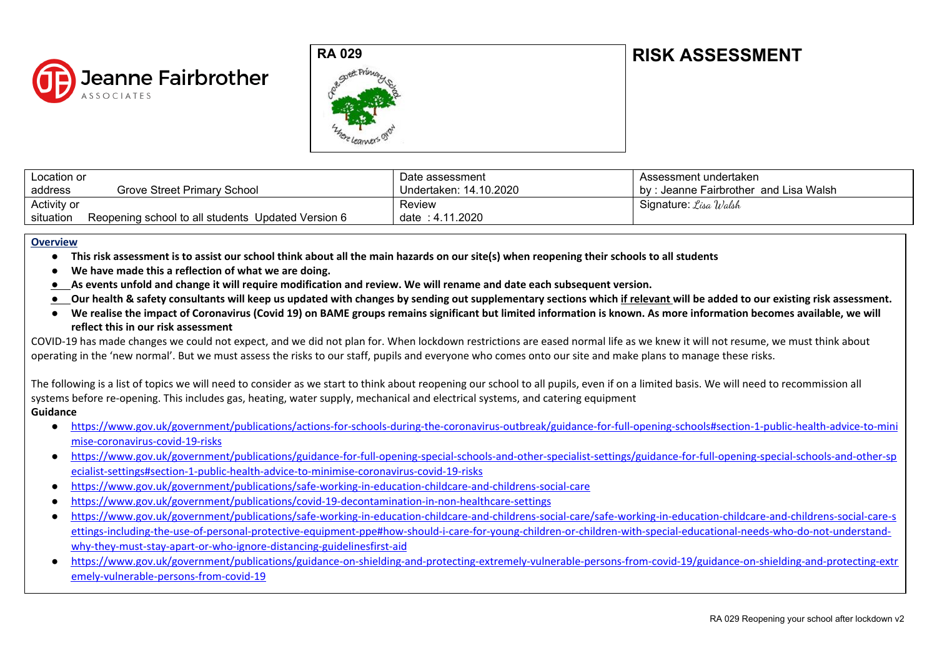

## **RA 029 RISK ASSESSMENT**



| Location or |                                                    | Date assessment        | Assessment undertaken                 |
|-------------|----------------------------------------------------|------------------------|---------------------------------------|
| address     | Grove Street Primary School                        | Undertaken: 14.10.2020 | by: Jeanne Fairbrother and Lisa Walsh |
| Activity or |                                                    | Review                 | Signature: <i>Lisa Walsh</i>          |
| situation   | Reopening school to all students Updated Version 6 | date: 4.11.2020        |                                       |

## **Overview**

- **● This risk assessment is to assist our school think about all the main hazards on our site(s) when reopening their schools to all students**
- **● We have made this a reflection of what we are doing.**
- **● As events unfold and change it will require modification and review. We will rename and date each subsequent version.**
- **● Our health & safety consultants will keep us updated with changes by sending out supplementary sections which if relevant will be added to our existing risk assessment.**
- **We realise the impact of Coronavirus (Covid 19) on BAME groups remains significant but limited information is known. As more information becomes available, we will reflect this in our risk assessment**

COVID-19 has made changes we could not expect, and we did not plan for. When lockdown restrictions are eased normal life as we knew it will not resume, we must think about operating in the 'new normal'. But we must assess the risks to our staff, pupils and everyone who comes onto our site and make plans to manage these risks.

The following is a list of topics we will need to consider as we start to think about reopening our school to all pupils, even if on a limited basis. We will need to recommission all systems before re-opening. This includes gas, heating, water supply, mechanical and electrical systems, and catering equipment **Guidance**

- [https://www.gov.uk/government/publications/actions-for-schools-during-the-coronavirus-outbreak/guidance-for-full-opening-schools#section-1-public-health-advice-to-mini](https://www.gov.uk/government/publications/actions-for-schools-during-the-coronavirus-outbreak/guidance-for-full-opening-schools#section-1-public-health-advice-to-minimise-coronavirus-covid-19-risks) [mise-coronavirus-covid-19-risks](https://www.gov.uk/government/publications/actions-for-schools-during-the-coronavirus-outbreak/guidance-for-full-opening-schools#section-1-public-health-advice-to-minimise-coronavirus-covid-19-risks)
- [https://www.gov.uk/government/publications/guidance-for-full-opening-special-schools-and-other-specialist-settings/guidance-for-full-opening-special-schools-and-other-sp](https://www.gov.uk/government/publications/guidance-for-full-opening-special-schools-and-other-specialist-settings/guidance-for-full-opening-special-schools-and-other-specialist-settings#section-1-public-health-advice-to-minimise-coronavirus-covid-19-risks) [ecialist-settings#section-1-public-health-advice-to-minimise-coronavirus-covid-19-risks](https://www.gov.uk/government/publications/guidance-for-full-opening-special-schools-and-other-specialist-settings/guidance-for-full-opening-special-schools-and-other-specialist-settings#section-1-public-health-advice-to-minimise-coronavirus-covid-19-risks)
- <https://www.gov.uk/government/publications/safe-working-in-education-childcare-and-childrens-social-care>
- <https://www.gov.uk/government/publications/covid-19-decontamination-in-non-healthcare-settings>
- [https://www.gov.uk/government/publications/safe-working-in-education-childcare-and-childrens-social-care/safe-working-in-education-childcare-and-childrens-social-care-s](https://www.gov.uk/government/publications/safe-working-in-education-childcare-and-childrens-social-care/safe-working-in-education-childcare-and-childrens-social-care-settings-including-the-use-of-personal-protective-equipment-ppe#how-should-i-care-for-young-children-or-children-with-special-educational-needs-who-do-not-understand-why-they-must-stay-apart-or-who-ignore-distancing-guidelinesfirst-aid) [ettings-including-the-use-of-personal-protective-equipment-ppe#how-should-i-care-for-young-children-or-children-with-special-educational-needs-who-do-not-understand](https://www.gov.uk/government/publications/safe-working-in-education-childcare-and-childrens-social-care/safe-working-in-education-childcare-and-childrens-social-care-settings-including-the-use-of-personal-protective-equipment-ppe#how-should-i-care-for-young-children-or-children-with-special-educational-needs-who-do-not-understand-why-they-must-stay-apart-or-who-ignore-distancing-guidelinesfirst-aid)[why-they-must-stay-apart-or-who-ignore-distancing-guidelinesfirst-aid](https://www.gov.uk/government/publications/safe-working-in-education-childcare-and-childrens-social-care/safe-working-in-education-childcare-and-childrens-social-care-settings-including-the-use-of-personal-protective-equipment-ppe#how-should-i-care-for-young-children-or-children-with-special-educational-needs-who-do-not-understand-why-they-must-stay-apart-or-who-ignore-distancing-guidelinesfirst-aid)
- [https://www.gov.uk/government/publications/guidance-on-shielding-and-protecting-extremely-vulnerable-persons-from-covid-19/guidance-on-shielding-and-protecting-extr](https://www.gov.uk/government/publications/guidance-on-shielding-and-protecting-extremely-vulnerable-persons-from-covid-19/guidance-on-shielding-and-protecting-extremely-vulnerable-persons-from-covid-19) [emely-vulnerable-persons-from-covid-19](https://www.gov.uk/government/publications/guidance-on-shielding-and-protecting-extremely-vulnerable-persons-from-covid-19/guidance-on-shielding-and-protecting-extremely-vulnerable-persons-from-covid-19)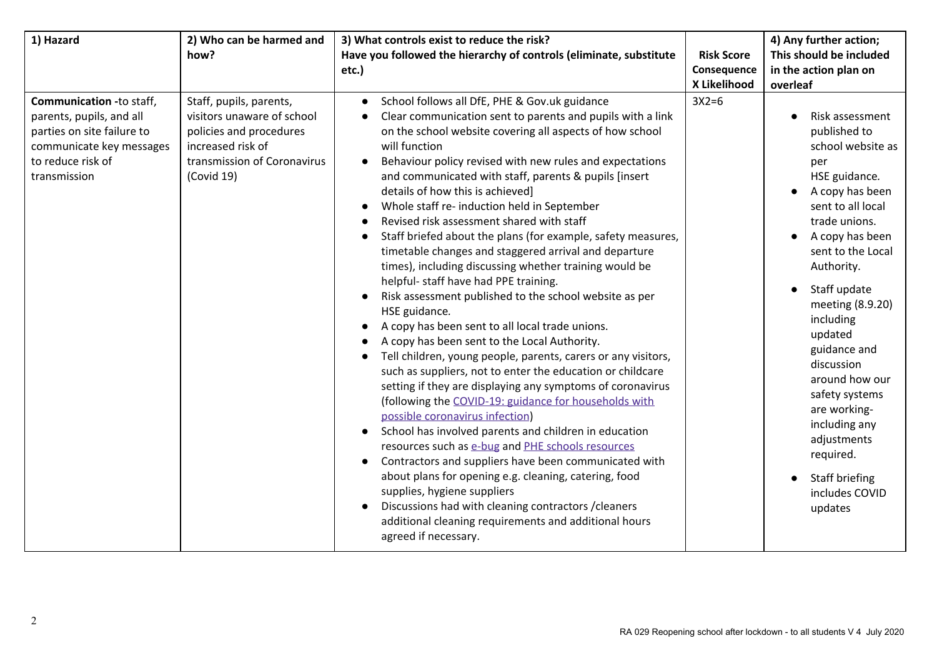| 1) Hazard                                                                                                                                           | 2) Who can be harmed and                                                                                                                           | 3) What controls exist to reduce the risk?                                                                                                                                                                                                                                                                                                                                                                                                                                                                                                                                                                                                                                                                                                                                                                                                                                                                                                                                                                                                                                                                                                                                                                                                                                                                                                                                                                                                                                                                                                                            |                   | 4) Any further action;                                                                                                                                                                                                                                                                                                                                                                                                                |
|-----------------------------------------------------------------------------------------------------------------------------------------------------|----------------------------------------------------------------------------------------------------------------------------------------------------|-----------------------------------------------------------------------------------------------------------------------------------------------------------------------------------------------------------------------------------------------------------------------------------------------------------------------------------------------------------------------------------------------------------------------------------------------------------------------------------------------------------------------------------------------------------------------------------------------------------------------------------------------------------------------------------------------------------------------------------------------------------------------------------------------------------------------------------------------------------------------------------------------------------------------------------------------------------------------------------------------------------------------------------------------------------------------------------------------------------------------------------------------------------------------------------------------------------------------------------------------------------------------------------------------------------------------------------------------------------------------------------------------------------------------------------------------------------------------------------------------------------------------------------------------------------------------|-------------------|---------------------------------------------------------------------------------------------------------------------------------------------------------------------------------------------------------------------------------------------------------------------------------------------------------------------------------------------------------------------------------------------------------------------------------------|
|                                                                                                                                                     | how?                                                                                                                                               | Have you followed the hierarchy of controls (eliminate, substitute                                                                                                                                                                                                                                                                                                                                                                                                                                                                                                                                                                                                                                                                                                                                                                                                                                                                                                                                                                                                                                                                                                                                                                                                                                                                                                                                                                                                                                                                                                    | <b>Risk Score</b> | This should be included                                                                                                                                                                                                                                                                                                                                                                                                               |
|                                                                                                                                                     |                                                                                                                                                    | etc.)                                                                                                                                                                                                                                                                                                                                                                                                                                                                                                                                                                                                                                                                                                                                                                                                                                                                                                                                                                                                                                                                                                                                                                                                                                                                                                                                                                                                                                                                                                                                                                 | Consequence       | in the action plan on                                                                                                                                                                                                                                                                                                                                                                                                                 |
|                                                                                                                                                     |                                                                                                                                                    |                                                                                                                                                                                                                                                                                                                                                                                                                                                                                                                                                                                                                                                                                                                                                                                                                                                                                                                                                                                                                                                                                                                                                                                                                                                                                                                                                                                                                                                                                                                                                                       | X Likelihood      | overleaf                                                                                                                                                                                                                                                                                                                                                                                                                              |
| Communication -to staff,<br>parents, pupils, and all<br>parties on site failure to<br>communicate key messages<br>to reduce risk of<br>transmission | Staff, pupils, parents,<br>visitors unaware of school<br>policies and procedures<br>increased risk of<br>transmission of Coronavirus<br>(Covid 19) | School follows all DfE, PHE & Gov.uk guidance<br>Clear communication sent to parents and pupils with a link<br>on the school website covering all aspects of how school<br>will function<br>Behaviour policy revised with new rules and expectations<br>and communicated with staff, parents & pupils [insert<br>details of how this is achieved]<br>Whole staff re- induction held in September<br>Revised risk assessment shared with staff<br>Staff briefed about the plans (for example, safety measures,<br>timetable changes and staggered arrival and departure<br>times), including discussing whether training would be<br>helpful- staff have had PPE training.<br>Risk assessment published to the school website as per<br>HSE guidance.<br>A copy has been sent to all local trade unions.<br>A copy has been sent to the Local Authority.<br>Tell children, young people, parents, carers or any visitors,<br>$\bullet$<br>such as suppliers, not to enter the education or childcare<br>setting if they are displaying any symptoms of coronavirus<br>(following the COVID-19: guidance for households with<br>possible coronavirus infection)<br>School has involved parents and children in education<br>resources such as e-bug and PHE schools resources<br>Contractors and suppliers have been communicated with<br>about plans for opening e.g. cleaning, catering, food<br>supplies, hygiene suppliers<br>Discussions had with cleaning contractors / cleaners<br>additional cleaning requirements and additional hours<br>agreed if necessary. | $3X2=6$           | Risk assessment<br>published to<br>school website as<br>per<br>HSE guidance.<br>A copy has been<br>sent to all local<br>trade unions.<br>A copy has been<br>sent to the Local<br>Authority.<br>Staff update<br>meeting (8.9.20)<br>including<br>updated<br>guidance and<br>discussion<br>around how our<br>safety systems<br>are working-<br>including any<br>adjustments<br>required.<br>Staff briefing<br>includes COVID<br>updates |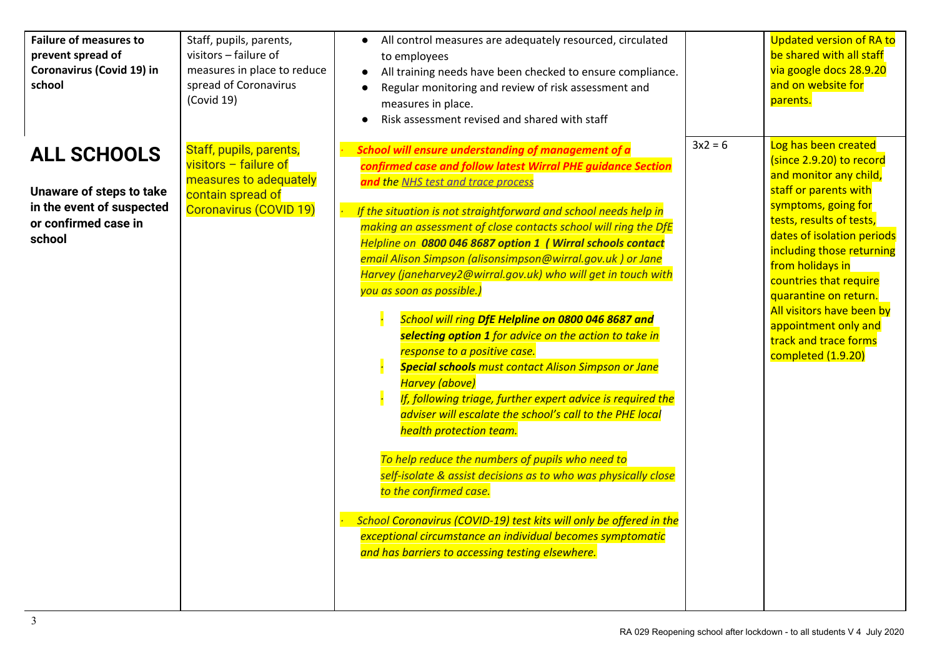| <b>Failure of measures to</b><br>prevent spread of<br>Coronavirus (Covid 19) in<br>school                     | Staff, pupils, parents,<br>visitors - failure of<br>measures in place to reduce<br>spread of Coronavirus<br>(Covid 19)      | All control measures are adequately resourced, circulated<br>$\bullet$<br>to employees<br>All training needs have been checked to ensure compliance.<br>Regular monitoring and review of risk assessment and<br>measures in place.<br>Risk assessment revised and shared with staff                                                                                                                                                                                                                                                                                                                                                                                                                                                                                                                                                                                                                                                                                                                                                                                                                                                                                                                                                                              |           | <b>Updated version of RA to</b><br>be shared with all staff<br>via google docs 28.9.20<br>and on website for<br>parents.                                                                                                                                                                                                                                                                     |
|---------------------------------------------------------------------------------------------------------------|-----------------------------------------------------------------------------------------------------------------------------|------------------------------------------------------------------------------------------------------------------------------------------------------------------------------------------------------------------------------------------------------------------------------------------------------------------------------------------------------------------------------------------------------------------------------------------------------------------------------------------------------------------------------------------------------------------------------------------------------------------------------------------------------------------------------------------------------------------------------------------------------------------------------------------------------------------------------------------------------------------------------------------------------------------------------------------------------------------------------------------------------------------------------------------------------------------------------------------------------------------------------------------------------------------------------------------------------------------------------------------------------------------|-----------|----------------------------------------------------------------------------------------------------------------------------------------------------------------------------------------------------------------------------------------------------------------------------------------------------------------------------------------------------------------------------------------------|
| <b>ALL SCHOOLS</b><br>Unaware of steps to take<br>in the event of suspected<br>or confirmed case in<br>school | Staff, pupils, parents,<br>visitors $-$ failure of<br>measures to adequately<br>contain spread of<br>Coronavirus (COVID 19) | <b>School will ensure understanding of management of a</b><br>confirmed case and follow latest Wirral PHE guidance Section<br>and the NHS test and trace process<br>If the situation is not straightforward and school needs help in<br>making an assessment of close contacts school will ring the DfE<br>Helpline on 0800 046 8687 option 1 (Wirral schools contact<br>email Alison Simpson (alisonsimpson@wirral.gov.uk) or Jane<br>Harvey (janeharvey2@wirral.gov.uk) who will get in touch with<br>you as soon as possible.)<br>School will ring DfE Helpline on 0800 046 8687 and<br>selecting option 1 for advice on the action to take in<br>response to a positive case.<br><b>Special schools</b> must contact Alison Simpson or Jane<br>Harvey (above)<br>If, following triage, further expert advice is required the<br>adviser will escalate the school's call to the PHE local<br>health protection team.<br>To help reduce the numbers of pupils who need to<br>self-isolate & assist decisions as to who was physically close<br>to the confirmed case.<br>School Coronavirus (COVID-19) test kits will only be offered in the<br>exceptional circumstance an individual becomes symptomatic<br>and has barriers to accessing testing elsewhere. | $3x2 = 6$ | Log has been created<br>(since 2.9.20) to record<br>and monitor any child,<br>staff or parents with<br>symptoms, going for<br>tests, results of tests,<br>dates of isolation periods<br>including those returning<br>from holidays in<br>countries that require<br>quarantine on return.<br>All visitors have been by<br>appointment only and<br>track and trace forms<br>completed (1.9.20) |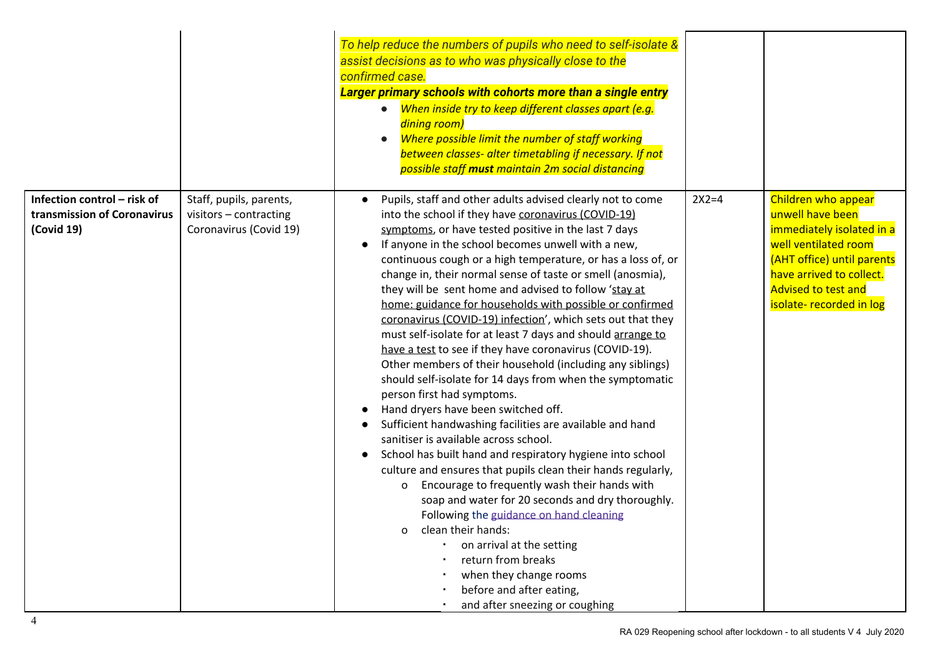|                                                                          |                                                                             | To help reduce the numbers of pupils who need to self-isolate &<br>assist decisions as to who was physically close to the<br>confirmed case.<br>Larger primary schools with cohorts more than a single entry<br>• When inside try to keep different classes apart (e.g.<br>dining room)<br>Where possible limit the number of staff working<br>$\bullet$<br>between classes- alter timetabling if necessary. If not<br>possible staff must maintain 2m social distancing                                                                                                                                                                                                                                                                                                                                                                                                                                                                                                                                                                                                                                                                                                                                                                                                                                                                                                                                                                                                                 |         |                                                                                                                                                                                                                  |
|--------------------------------------------------------------------------|-----------------------------------------------------------------------------|------------------------------------------------------------------------------------------------------------------------------------------------------------------------------------------------------------------------------------------------------------------------------------------------------------------------------------------------------------------------------------------------------------------------------------------------------------------------------------------------------------------------------------------------------------------------------------------------------------------------------------------------------------------------------------------------------------------------------------------------------------------------------------------------------------------------------------------------------------------------------------------------------------------------------------------------------------------------------------------------------------------------------------------------------------------------------------------------------------------------------------------------------------------------------------------------------------------------------------------------------------------------------------------------------------------------------------------------------------------------------------------------------------------------------------------------------------------------------------------|---------|------------------------------------------------------------------------------------------------------------------------------------------------------------------------------------------------------------------|
| Infection control - risk of<br>transmission of Coronavirus<br>(Covid 19) | Staff, pupils, parents,<br>visitors - contracting<br>Coronavirus (Covid 19) | Pupils, staff and other adults advised clearly not to come<br>into the school if they have coronavirus (COVID-19)<br>symptoms, or have tested positive in the last 7 days<br>If anyone in the school becomes unwell with a new,<br>$\bullet$<br>continuous cough or a high temperature, or has a loss of, or<br>change in, their normal sense of taste or smell (anosmia),<br>they will be sent home and advised to follow 'stay at<br>home: guidance for households with possible or confirmed<br>coronavirus (COVID-19) infection', which sets out that they<br>must self-isolate for at least 7 days and should arrange to<br>have a test to see if they have coronavirus (COVID-19).<br>Other members of their household (including any siblings)<br>should self-isolate for 14 days from when the symptomatic<br>person first had symptoms.<br>Hand dryers have been switched off.<br>Sufficient handwashing facilities are available and hand<br>sanitiser is available across school.<br>School has built hand and respiratory hygiene into school<br>$\bullet$<br>culture and ensures that pupils clean their hands regularly,<br>Encourage to frequently wash their hands with<br>$\mathbf{o}$<br>soap and water for 20 seconds and dry thoroughly.<br>Following the guidance on hand cleaning<br>clean their hands:<br>$\mathbf{o}$<br>on arrival at the setting<br>return from breaks<br>when they change rooms<br>before and after eating,<br>and after sneezing or coughing | $2X2=4$ | Children who appear<br>unwell have been<br>immediately isolated in a<br>well ventilated room<br>(AHT office) until parents<br>have arrived to collect.<br><b>Advised to test and</b><br>isolate- recorded in log |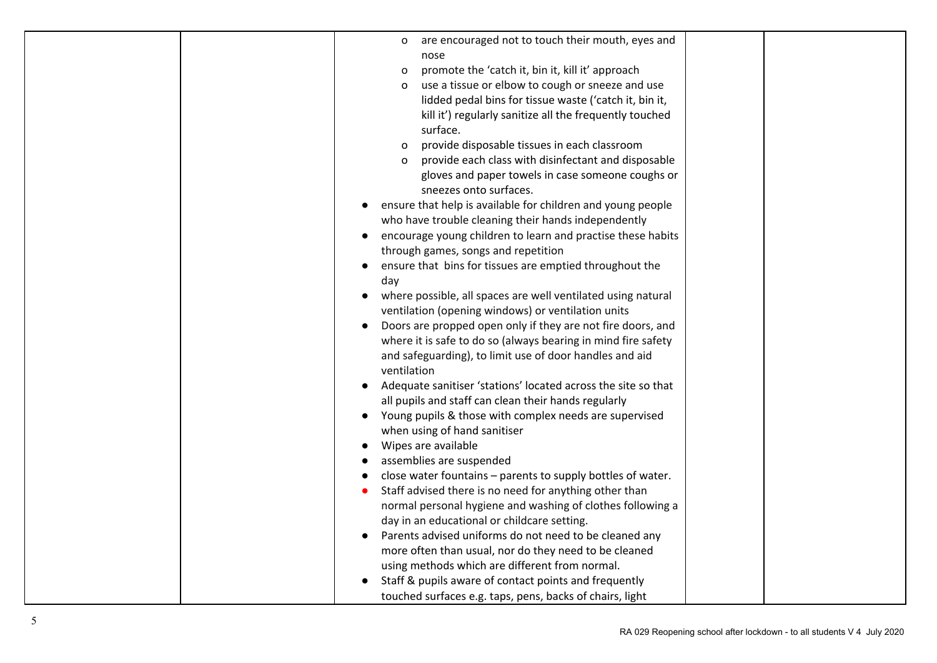| are encouraged not to touch their mouth, eyes and<br>$\circ$              |  |
|---------------------------------------------------------------------------|--|
|                                                                           |  |
| nose                                                                      |  |
| promote the 'catch it, bin it, kill it' approach<br>o                     |  |
| use a tissue or elbow to cough or sneeze and use<br>$\Omega$              |  |
| lidded pedal bins for tissue waste ('catch it, bin it,                    |  |
| kill it') regularly sanitize all the frequently touched                   |  |
| surface.                                                                  |  |
| provide disposable tissues in each classroom                              |  |
| provide each class with disinfectant and disposable                       |  |
| gloves and paper towels in case someone coughs or                         |  |
| sneezes onto surfaces.                                                    |  |
| ensure that help is available for children and young people               |  |
| who have trouble cleaning their hands independently                       |  |
| encourage young children to learn and practise these habits               |  |
| through games, songs and repetition                                       |  |
| ensure that bins for tissues are emptied throughout the                   |  |
| day                                                                       |  |
| where possible, all spaces are well ventilated using natural<br>$\bullet$ |  |
| ventilation (opening windows) or ventilation units                        |  |
| Doors are propped open only if they are not fire doors, and               |  |
| where it is safe to do so (always bearing in mind fire safety             |  |
| and safeguarding), to limit use of door handles and aid                   |  |
| ventilation                                                               |  |
| Adequate sanitiser 'stations' located across the site so that             |  |
| all pupils and staff can clean their hands regularly                      |  |
| Young pupils & those with complex needs are supervised                    |  |
| when using of hand sanitiser                                              |  |
| Wipes are available                                                       |  |
| assemblies are suspended                                                  |  |
| close water fountains - parents to supply bottles of water.               |  |
| Staff advised there is no need for anything other than                    |  |
| normal personal hygiene and washing of clothes following a                |  |
| day in an educational or childcare setting.                               |  |
| Parents advised uniforms do not need to be cleaned any                    |  |
| more often than usual, nor do they need to be cleaned                     |  |
| using methods which are different from normal.                            |  |
| Staff & pupils aware of contact points and frequently                     |  |
| touched surfaces e.g. taps, pens, backs of chairs, light                  |  |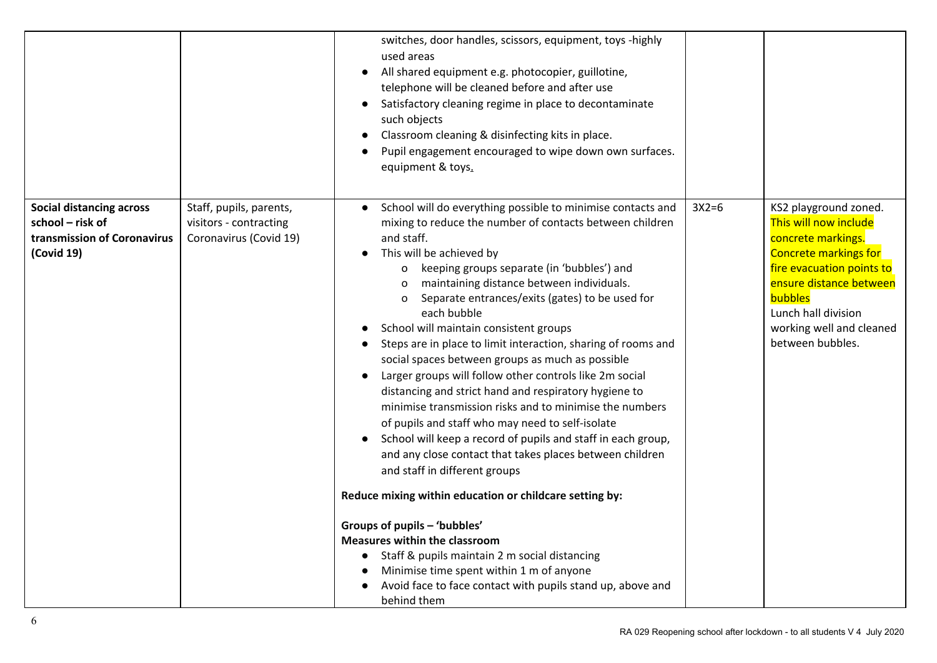|                                                                                                  |                                                                             | switches, door handles, scissors, equipment, toys -highly<br>used areas<br>All shared equipment e.g. photocopier, guillotine,<br>telephone will be cleaned before and after use<br>Satisfactory cleaning regime in place to decontaminate<br>such objects<br>Classroom cleaning & disinfecting kits in place.<br>Pupil engagement encouraged to wipe down own surfaces.<br>equipment & toys.                                                                                                                                                                                                                                                                                                                                                                                                                                                                                                                                                                                                                                                                                                                                                                                                                           |         |                                                                                                                                                                                                                                                |
|--------------------------------------------------------------------------------------------------|-----------------------------------------------------------------------------|------------------------------------------------------------------------------------------------------------------------------------------------------------------------------------------------------------------------------------------------------------------------------------------------------------------------------------------------------------------------------------------------------------------------------------------------------------------------------------------------------------------------------------------------------------------------------------------------------------------------------------------------------------------------------------------------------------------------------------------------------------------------------------------------------------------------------------------------------------------------------------------------------------------------------------------------------------------------------------------------------------------------------------------------------------------------------------------------------------------------------------------------------------------------------------------------------------------------|---------|------------------------------------------------------------------------------------------------------------------------------------------------------------------------------------------------------------------------------------------------|
| <b>Social distancing across</b><br>school - risk of<br>transmission of Coronavirus<br>(Covid 19) | Staff, pupils, parents,<br>visitors - contracting<br>Coronavirus (Covid 19) | School will do everything possible to minimise contacts and<br>mixing to reduce the number of contacts between children<br>and staff.<br>This will be achieved by<br>o keeping groups separate (in 'bubbles') and<br>maintaining distance between individuals.<br>0<br>Separate entrances/exits (gates) to be used for<br>0<br>each bubble<br>School will maintain consistent groups<br>Steps are in place to limit interaction, sharing of rooms and<br>social spaces between groups as much as possible<br>Larger groups will follow other controls like 2m social<br>distancing and strict hand and respiratory hygiene to<br>minimise transmission risks and to minimise the numbers<br>of pupils and staff who may need to self-isolate<br>School will keep a record of pupils and staff in each group,<br>and any close contact that takes places between children<br>and staff in different groups<br>Reduce mixing within education or childcare setting by:<br>Groups of pupils - 'bubbles'<br><b>Measures within the classroom</b><br>Staff & pupils maintain 2 m social distancing<br>Minimise time spent within 1 m of anyone<br>Avoid face to face contact with pupils stand up, above and<br>behind them | $3X2=6$ | KS2 playground zoned.<br>This will now include<br>concrete markings.<br><b>Concrete markings for</b><br>fire evacuation points to<br>ensure distance between<br>bubbles<br>Lunch hall division<br>working well and cleaned<br>between bubbles. |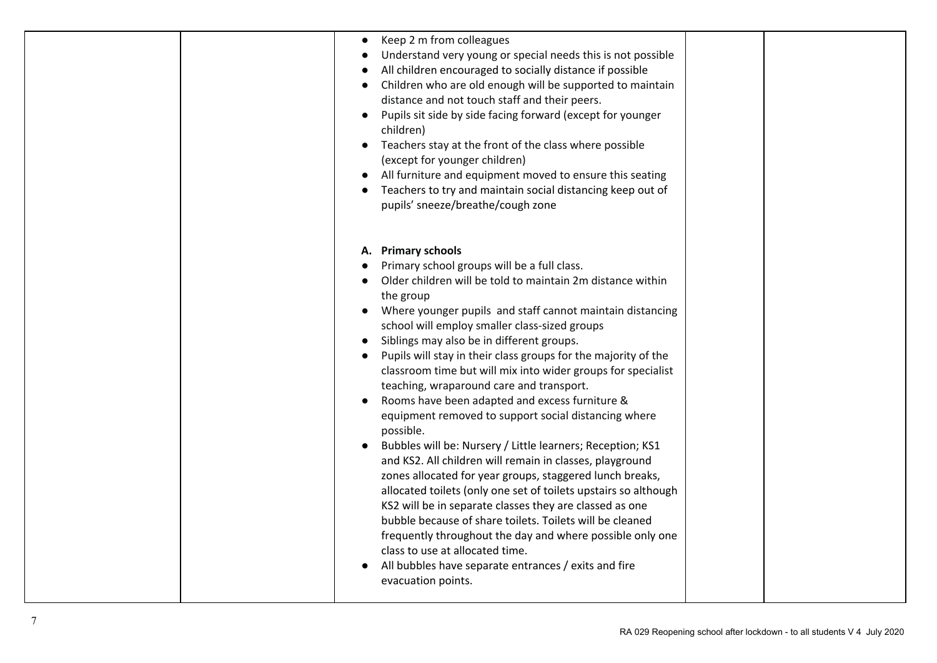|  | Keep 2 m from colleagues<br>$\bullet$<br>Understand very young or special needs this is not possible<br>All children encouraged to socially distance if possible<br>Children who are old enough will be supported to maintain<br>distance and not touch staff and their peers.<br>Pupils sit side by side facing forward (except for younger<br>$\bullet$<br>children)<br>Teachers stay at the front of the class where possible<br>$\bullet$<br>(except for younger children)<br>All furniture and equipment moved to ensure this seating<br>Teachers to try and maintain social distancing keep out of<br>pupils' sneeze/breathe/cough zone                                                                                                                                                                                                                                                                                                                                                                                                                                                                                                                                           |  |
|--|-----------------------------------------------------------------------------------------------------------------------------------------------------------------------------------------------------------------------------------------------------------------------------------------------------------------------------------------------------------------------------------------------------------------------------------------------------------------------------------------------------------------------------------------------------------------------------------------------------------------------------------------------------------------------------------------------------------------------------------------------------------------------------------------------------------------------------------------------------------------------------------------------------------------------------------------------------------------------------------------------------------------------------------------------------------------------------------------------------------------------------------------------------------------------------------------|--|
|  | A. Primary schools<br>Primary school groups will be a full class.<br>Older children will be told to maintain 2m distance within<br>the group<br>Where younger pupils and staff cannot maintain distancing<br>school will employ smaller class-sized groups<br>Siblings may also be in different groups.<br>Pupils will stay in their class groups for the majority of the<br>classroom time but will mix into wider groups for specialist<br>teaching, wraparound care and transport.<br>Rooms have been adapted and excess furniture &<br>$\bullet$<br>equipment removed to support social distancing where<br>possible.<br>Bubbles will be: Nursery / Little learners; Reception; KS1<br>and KS2. All children will remain in classes, playground<br>zones allocated for year groups, staggered lunch breaks,<br>allocated toilets (only one set of toilets upstairs so although<br>KS2 will be in separate classes they are classed as one<br>bubble because of share toilets. Toilets will be cleaned<br>frequently throughout the day and where possible only one<br>class to use at allocated time.<br>All bubbles have separate entrances / exits and fire<br>evacuation points. |  |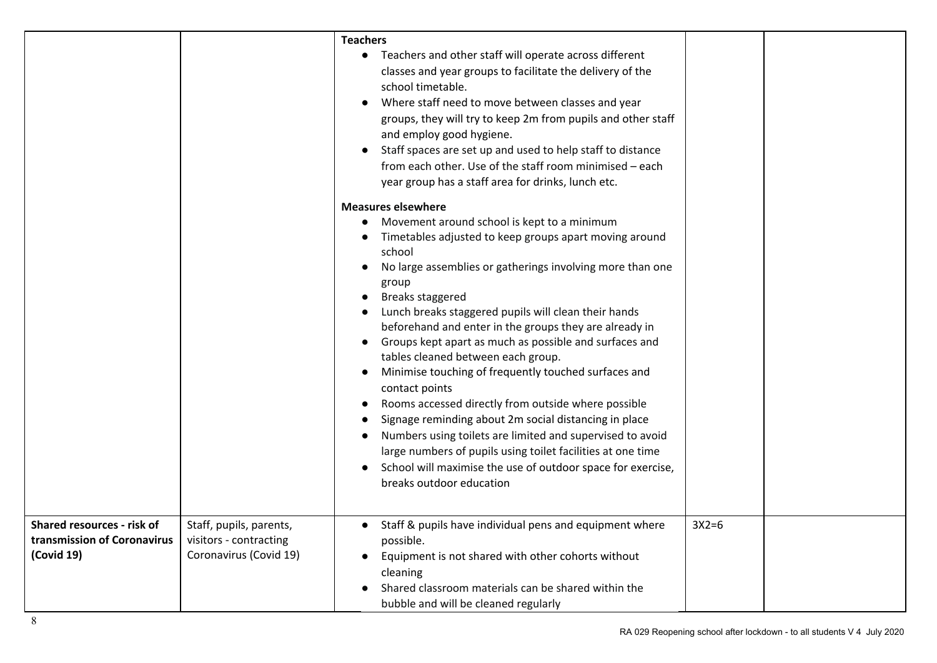|                                                                         |                                                                             | <b>Teachers</b>                                                                                                                                                                                                                                                                                                                                                                                                                                                                                                                                                                                                                                                                                                                                                                                                                                                                                                                                                                                                                                                                                                                                                                                                                                                                                                                                         |         |  |
|-------------------------------------------------------------------------|-----------------------------------------------------------------------------|---------------------------------------------------------------------------------------------------------------------------------------------------------------------------------------------------------------------------------------------------------------------------------------------------------------------------------------------------------------------------------------------------------------------------------------------------------------------------------------------------------------------------------------------------------------------------------------------------------------------------------------------------------------------------------------------------------------------------------------------------------------------------------------------------------------------------------------------------------------------------------------------------------------------------------------------------------------------------------------------------------------------------------------------------------------------------------------------------------------------------------------------------------------------------------------------------------------------------------------------------------------------------------------------------------------------------------------------------------|---------|--|
|                                                                         |                                                                             | • Teachers and other staff will operate across different<br>classes and year groups to facilitate the delivery of the<br>school timetable.<br>Where staff need to move between classes and year<br>groups, they will try to keep 2m from pupils and other staff<br>and employ good hygiene.<br>Staff spaces are set up and used to help staff to distance<br>from each other. Use of the staff room minimised - each<br>year group has a staff area for drinks, lunch etc.<br><b>Measures elsewhere</b><br>Movement around school is kept to a minimum<br>Timetables adjusted to keep groups apart moving around<br>school<br>No large assemblies or gatherings involving more than one<br>group<br>Breaks staggered<br>Lunch breaks staggered pupils will clean their hands<br>beforehand and enter in the groups they are already in<br>Groups kept apart as much as possible and surfaces and<br>tables cleaned between each group.<br>Minimise touching of frequently touched surfaces and<br>contact points<br>Rooms accessed directly from outside where possible<br>Signage reminding about 2m social distancing in place<br>Numbers using toilets are limited and supervised to avoid<br>large numbers of pupils using toilet facilities at one time<br>School will maximise the use of outdoor space for exercise,<br>breaks outdoor education |         |  |
| Shared resources - risk of<br>transmission of Coronavirus<br>(Covid 19) | Staff, pupils, parents,<br>visitors - contracting<br>Coronavirus (Covid 19) | • Staff & pupils have individual pens and equipment where<br>possible.<br>Equipment is not shared with other cohorts without<br>cleaning<br>Shared classroom materials can be shared within the<br>bubble and will be cleaned regularly                                                                                                                                                                                                                                                                                                                                                                                                                                                                                                                                                                                                                                                                                                                                                                                                                                                                                                                                                                                                                                                                                                                 | $3X2=6$ |  |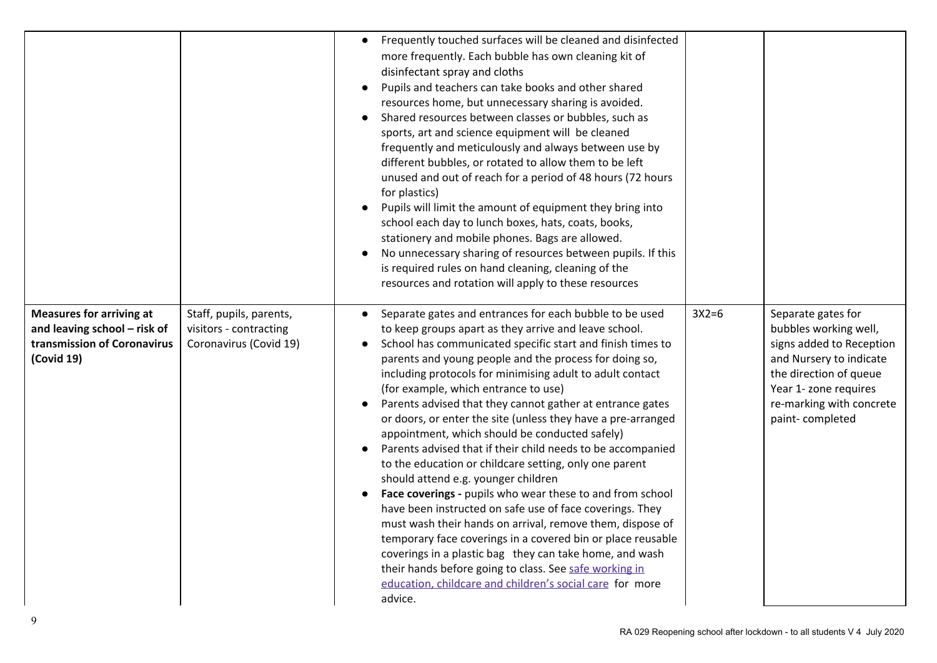|                                                                                                              |                                                                             | Frequently touched surfaces will be cleaned and disinfected<br>more frequently. Each bubble has own cleaning kit of<br>disinfectant spray and cloths<br>Pupils and teachers can take books and other shared<br>resources home, but unnecessary sharing is avoided.<br>Shared resources between classes or bubbles, such as<br>sports, art and science equipment will be cleaned<br>frequently and meticulously and always between use by<br>different bubbles, or rotated to allow them to be left<br>unused and out of reach for a period of 48 hours (72 hours<br>for plastics)<br>Pupils will limit the amount of equipment they bring into<br>school each day to lunch boxes, hats, coats, books,<br>stationery and mobile phones. Bags are allowed.<br>No unnecessary sharing of resources between pupils. If this<br>is required rules on hand cleaning, cleaning of the<br>resources and rotation will apply to these resources                                                                                                                                                                                                                     |         |                                                                                                                                                                                                      |
|--------------------------------------------------------------------------------------------------------------|-----------------------------------------------------------------------------|------------------------------------------------------------------------------------------------------------------------------------------------------------------------------------------------------------------------------------------------------------------------------------------------------------------------------------------------------------------------------------------------------------------------------------------------------------------------------------------------------------------------------------------------------------------------------------------------------------------------------------------------------------------------------------------------------------------------------------------------------------------------------------------------------------------------------------------------------------------------------------------------------------------------------------------------------------------------------------------------------------------------------------------------------------------------------------------------------------------------------------------------------------|---------|------------------------------------------------------------------------------------------------------------------------------------------------------------------------------------------------------|
| <b>Measures for arriving at</b><br>and leaving school - risk of<br>transmission of Coronavirus<br>(Covid 19) | Staff, pupils, parents,<br>visitors - contracting<br>Coronavirus (Covid 19) | Separate gates and entrances for each bubble to be used<br>$\bullet$<br>to keep groups apart as they arrive and leave school.<br>School has communicated specific start and finish times to<br>parents and young people and the process for doing so,<br>including protocols for minimising adult to adult contact<br>(for example, which entrance to use)<br>Parents advised that they cannot gather at entrance gates<br>or doors, or enter the site (unless they have a pre-arranged<br>appointment, which should be conducted safely)<br>Parents advised that if their child needs to be accompanied<br>to the education or childcare setting, only one parent<br>should attend e.g. younger children<br>Face coverings - pupils who wear these to and from school<br>have been instructed on safe use of face coverings. They<br>must wash their hands on arrival, remove them, dispose of<br>temporary face coverings in a covered bin or place reusable<br>coverings in a plastic bag they can take home, and wash<br>their hands before going to class. See safe working in<br>education, childcare and children's social care for more<br>advice. | $3X2=6$ | Separate gates for<br>bubbles working well,<br>signs added to Reception<br>and Nursery to indicate<br>the direction of queue<br>Year 1- zone requires<br>re-marking with concrete<br>paint-completed |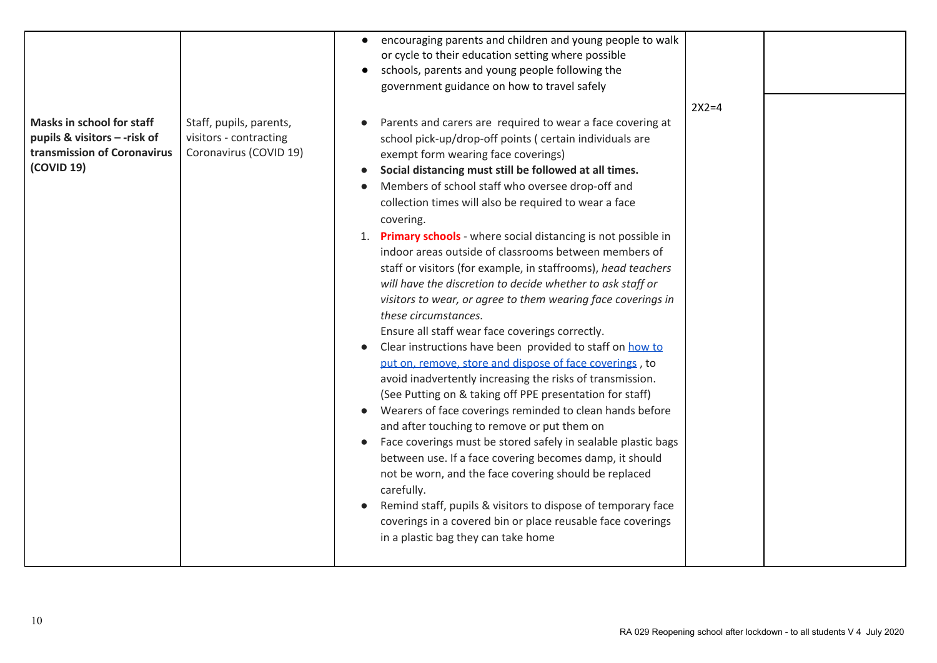| <b>Masks in school for staff</b><br>pupils & visitors -- risk of<br>transmission of Coronavirus<br>(COVID 19) | Staff, pupils, parents,<br>visitors - contracting<br>Coronavirus (COVID 19) | encouraging parents and children and young people to walk<br>$\bullet$<br>or cycle to their education setting where possible<br>schools, parents and young people following the<br>$\bullet$<br>government guidance on how to travel safely<br>Parents and carers are required to wear a face covering at<br>school pick-up/drop-off points (certain individuals are<br>exempt form wearing face coverings)<br>Social distancing must still be followed at all times.<br>Members of school staff who oversee drop-off and<br>collection times will also be required to wear a face<br>covering.<br>1. Primary schools - where social distancing is not possible in<br>indoor areas outside of classrooms between members of<br>staff or visitors (for example, in staffrooms), head teachers<br>will have the discretion to decide whether to ask staff or<br>visitors to wear, or agree to them wearing face coverings in<br>these circumstances.<br>Ensure all staff wear face coverings correctly.<br>Clear instructions have been provided to staff on how to<br>put on, remove, store and dispose of face coverings, to<br>avoid inadvertently increasing the risks of transmission. | $2X2=4$ |  |
|---------------------------------------------------------------------------------------------------------------|-----------------------------------------------------------------------------|-------------------------------------------------------------------------------------------------------------------------------------------------------------------------------------------------------------------------------------------------------------------------------------------------------------------------------------------------------------------------------------------------------------------------------------------------------------------------------------------------------------------------------------------------------------------------------------------------------------------------------------------------------------------------------------------------------------------------------------------------------------------------------------------------------------------------------------------------------------------------------------------------------------------------------------------------------------------------------------------------------------------------------------------------------------------------------------------------------------------------------------------------------------------------------------------|---------|--|
|                                                                                                               |                                                                             | (See Putting on & taking off PPE presentation for staff)<br>Wearers of face coverings reminded to clean hands before<br>and after touching to remove or put them on<br>Face coverings must be stored safely in sealable plastic bags<br>$\bullet$<br>between use. If a face covering becomes damp, it should<br>not be worn, and the face covering should be replaced<br>carefully.<br>Remind staff, pupils & visitors to dispose of temporary face<br>coverings in a covered bin or place reusable face coverings<br>in a plastic bag they can take home                                                                                                                                                                                                                                                                                                                                                                                                                                                                                                                                                                                                                                 |         |  |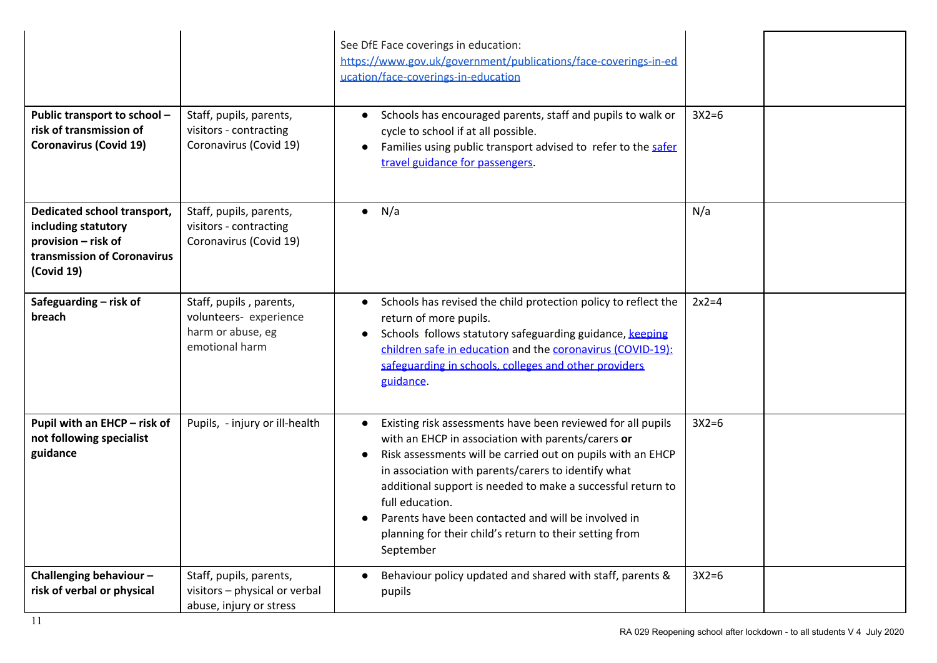| Public transport to school -<br>risk of transmission of<br><b>Coronavirus (Covid 19)</b>                               | Staff, pupils, parents,<br>visitors - contracting<br>Coronavirus (Covid 19)              | See DfE Face coverings in education:<br>https://www.gov.uk/government/publications/face-coverings-in-ed<br>ucation/face-coverings-in-education<br>Schools has encouraged parents, staff and pupils to walk or<br>$\bullet$<br>cycle to school if at all possible.<br>Families using public transport advised to refer to the safer<br>travel guidance for passengers.                                                                                    | $3X2=6$ |  |
|------------------------------------------------------------------------------------------------------------------------|------------------------------------------------------------------------------------------|----------------------------------------------------------------------------------------------------------------------------------------------------------------------------------------------------------------------------------------------------------------------------------------------------------------------------------------------------------------------------------------------------------------------------------------------------------|---------|--|
| Dedicated school transport,<br>including statutory<br>provision - risk of<br>transmission of Coronavirus<br>(Covid 19) | Staff, pupils, parents,<br>visitors - contracting<br>Coronavirus (Covid 19)              | $\bullet$ N/a                                                                                                                                                                                                                                                                                                                                                                                                                                            | N/a     |  |
| Safeguarding - risk of<br>breach                                                                                       | Staff, pupils, parents,<br>volunteers- experience<br>harm or abuse, eg<br>emotional harm | Schools has revised the child protection policy to reflect the<br>$\bullet$<br>return of more pupils.<br>Schools follows statutory safeguarding guidance, keeping<br>$\bullet$<br>children safe in education and the coronavirus (COVID-19):<br>safeguarding in schools, colleges and other providers<br>guidance.                                                                                                                                       | $2x2=4$ |  |
| Pupil with an EHCP - risk of<br>not following specialist<br>guidance                                                   | Pupils, - injury or ill-health                                                           | Existing risk assessments have been reviewed for all pupils<br>with an EHCP in association with parents/carers or<br>Risk assessments will be carried out on pupils with an EHCP<br>in association with parents/carers to identify what<br>additional support is needed to make a successful return to<br>full education.<br>Parents have been contacted and will be involved in<br>planning for their child's return to their setting from<br>September | $3X2=6$ |  |
| Challenging behaviour-<br>risk of verbal or physical                                                                   | Staff, pupils, parents,<br>visitors - physical or verbal<br>abuse, injury or stress      | Behaviour policy updated and shared with staff, parents &<br>pupils                                                                                                                                                                                                                                                                                                                                                                                      | $3X2=6$ |  |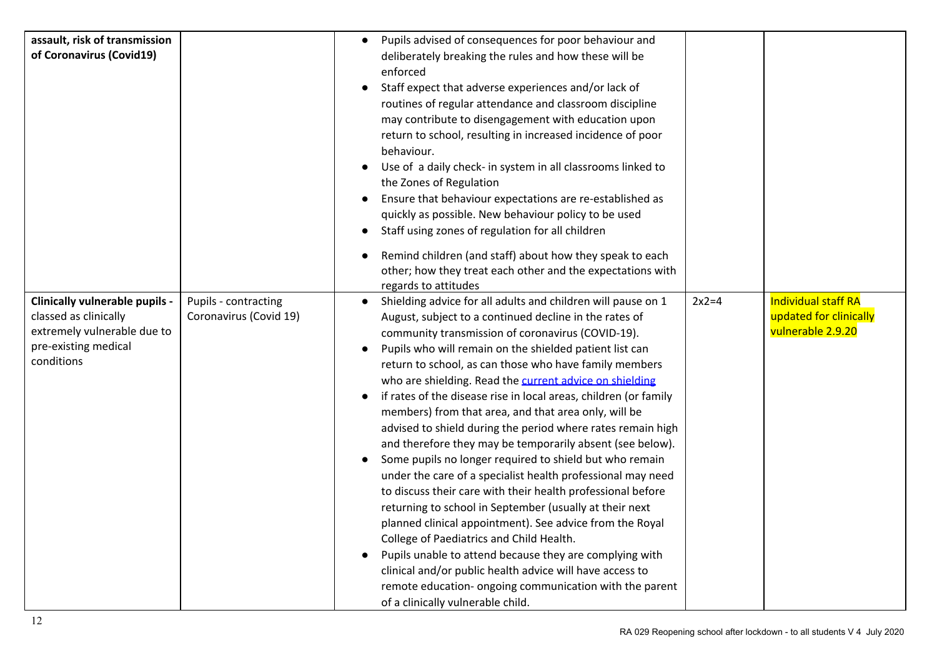| assault, risk of transmission<br>of Coronavirus (Covid19)                                                                           |                                                | Pupils advised of consequences for poor behaviour and<br>deliberately breaking the rules and how these will be<br>enforced<br>Staff expect that adverse experiences and/or lack of<br>routines of regular attendance and classroom discipline<br>may contribute to disengagement with education upon<br>return to school, resulting in increased incidence of poor<br>behaviour.<br>Use of a daily check- in system in all classrooms linked to<br>$\bullet$<br>the Zones of Regulation<br>Ensure that behaviour expectations are re-established as<br>quickly as possible. New behaviour policy to be used<br>Staff using zones of regulation for all children<br>$\bullet$                                                                                                                                                                                                                                                                                                                                                                                                                                                                                                                                      |                                                                           |
|-------------------------------------------------------------------------------------------------------------------------------------|------------------------------------------------|-------------------------------------------------------------------------------------------------------------------------------------------------------------------------------------------------------------------------------------------------------------------------------------------------------------------------------------------------------------------------------------------------------------------------------------------------------------------------------------------------------------------------------------------------------------------------------------------------------------------------------------------------------------------------------------------------------------------------------------------------------------------------------------------------------------------------------------------------------------------------------------------------------------------------------------------------------------------------------------------------------------------------------------------------------------------------------------------------------------------------------------------------------------------------------------------------------------------|---------------------------------------------------------------------------|
|                                                                                                                                     |                                                | Remind children (and staff) about how they speak to each<br>other; how they treat each other and the expectations with<br>regards to attitudes                                                                                                                                                                                                                                                                                                                                                                                                                                                                                                                                                                                                                                                                                                                                                                                                                                                                                                                                                                                                                                                                    |                                                                           |
| <b>Clinically vulnerable pupils -</b><br>classed as clinically<br>extremely vulnerable due to<br>pre-existing medical<br>conditions | Pupils - contracting<br>Coronavirus (Covid 19) | Shielding advice for all adults and children will pause on 1<br>$2x2=4$<br>August, subject to a continued decline in the rates of<br>community transmission of coronavirus (COVID-19).<br>Pupils who will remain on the shielded patient list can<br>return to school, as can those who have family members<br>who are shielding. Read the current advice on shielding<br>if rates of the disease rise in local areas, children (or family<br>members) from that area, and that area only, will be<br>advised to shield during the period where rates remain high<br>and therefore they may be temporarily absent (see below).<br>Some pupils no longer required to shield but who remain<br>under the care of a specialist health professional may need<br>to discuss their care with their health professional before<br>returning to school in September (usually at their next<br>planned clinical appointment). See advice from the Royal<br>College of Paediatrics and Child Health.<br>Pupils unable to attend because they are complying with<br>clinical and/or public health advice will have access to<br>remote education- ongoing communication with the parent<br>of a clinically vulnerable child. | <b>Individual staff RA</b><br>updated for clinically<br>vulnerable 2.9.20 |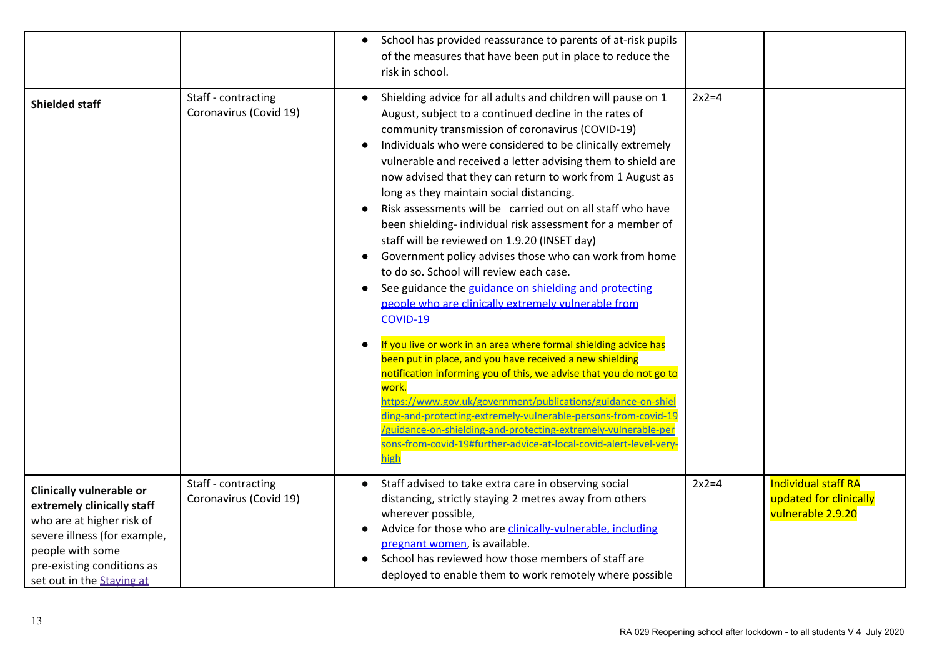|                                                                                                                                                                                                           |                                               | School has provided reassurance to parents of at-risk pupils<br>of the measures that have been put in place to reduce the<br>risk in school.                                                                                                                                                                                                                                                                                                                                                                                                                                                                                                                                                                                                                                                                                                                                                                                                                                                                                                                                                                                                                                                                                                                                                                                                  |         |                                                                           |
|-----------------------------------------------------------------------------------------------------------------------------------------------------------------------------------------------------------|-----------------------------------------------|-----------------------------------------------------------------------------------------------------------------------------------------------------------------------------------------------------------------------------------------------------------------------------------------------------------------------------------------------------------------------------------------------------------------------------------------------------------------------------------------------------------------------------------------------------------------------------------------------------------------------------------------------------------------------------------------------------------------------------------------------------------------------------------------------------------------------------------------------------------------------------------------------------------------------------------------------------------------------------------------------------------------------------------------------------------------------------------------------------------------------------------------------------------------------------------------------------------------------------------------------------------------------------------------------------------------------------------------------|---------|---------------------------------------------------------------------------|
| <b>Shielded staff</b>                                                                                                                                                                                     | Staff - contracting<br>Coronavirus (Covid 19) | Shielding advice for all adults and children will pause on 1<br>August, subject to a continued decline in the rates of<br>community transmission of coronavirus (COVID-19)<br>Individuals who were considered to be clinically extremely<br>vulnerable and received a letter advising them to shield are<br>now advised that they can return to work from 1 August as<br>long as they maintain social distancing.<br>Risk assessments will be carried out on all staff who have<br>been shielding- individual risk assessment for a member of<br>staff will be reviewed on 1.9.20 (INSET day)<br>Government policy advises those who can work from home<br>to do so. School will review each case.<br>See guidance the guidance on shielding and protecting<br>$\bullet$<br>people who are clinically extremely vulnerable from<br>COVID-19<br>If you live or work in an area where formal shielding advice has<br>been put in place, and you have received a new shielding<br>notification informing you of this, we advise that you do not go to<br>work.<br>https://www.gov.uk/government/publications/guidance-on-shiel<br>ding-and-protecting-extremely-vulnerable-persons-from-covid-19<br>/guidance-on-shielding-and-protecting-extremely-vulnerable-per<br>sons-from-covid-19#further-advice-at-local-covid-alert-level-very-<br>high | $2x2=4$ |                                                                           |
| <b>Clinically vulnerable or</b><br>extremely clinically staff<br>who are at higher risk of<br>severe illness (for example,<br>people with some<br>pre-existing conditions as<br>set out in the Staying at | Staff - contracting<br>Coronavirus (Covid 19) | Staff advised to take extra care in observing social<br>distancing, strictly staying 2 metres away from others<br>wherever possible,<br>Advice for those who are clinically-vulnerable, including<br>pregnant women, is available.<br>School has reviewed how those members of staff are<br>deployed to enable them to work remotely where possible                                                                                                                                                                                                                                                                                                                                                                                                                                                                                                                                                                                                                                                                                                                                                                                                                                                                                                                                                                                           | $2x2=4$ | <b>Individual staff RA</b><br>updated for clinically<br>vulnerable 2.9.20 |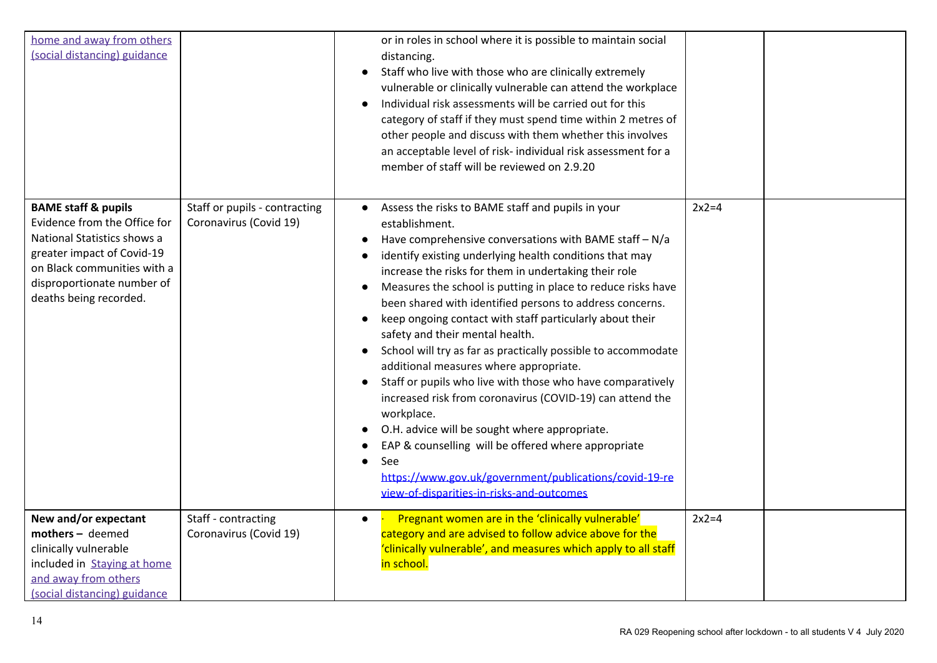| home and away from others<br>(social distancing) guidance                                                                                                                                                          |                                                         | or in roles in school where it is possible to maintain social<br>distancing.<br>Staff who live with those who are clinically extremely<br>$\bullet$<br>vulnerable or clinically vulnerable can attend the workplace<br>Individual risk assessments will be carried out for this<br>category of staff if they must spend time within 2 metres of<br>other people and discuss with them whether this involves<br>an acceptable level of risk- individual risk assessment for a<br>member of staff will be reviewed on 2.9.20                                                                                                                                                                                                                                                                                                                                                                                                                                                       |         |  |
|--------------------------------------------------------------------------------------------------------------------------------------------------------------------------------------------------------------------|---------------------------------------------------------|----------------------------------------------------------------------------------------------------------------------------------------------------------------------------------------------------------------------------------------------------------------------------------------------------------------------------------------------------------------------------------------------------------------------------------------------------------------------------------------------------------------------------------------------------------------------------------------------------------------------------------------------------------------------------------------------------------------------------------------------------------------------------------------------------------------------------------------------------------------------------------------------------------------------------------------------------------------------------------|---------|--|
| <b>BAME staff &amp; pupils</b><br>Evidence from the Office for<br>National Statistics shows a<br>greater impact of Covid-19<br>on Black communities with a<br>disproportionate number of<br>deaths being recorded. | Staff or pupils - contracting<br>Coronavirus (Covid 19) | Assess the risks to BAME staff and pupils in your<br>$\bullet$<br>establishment.<br>Have comprehensive conversations with BAME staff - N/a<br>identify existing underlying health conditions that may<br>increase the risks for them in undertaking their role<br>Measures the school is putting in place to reduce risks have<br>$\bullet$<br>been shared with identified persons to address concerns.<br>keep ongoing contact with staff particularly about their<br>safety and their mental health.<br>School will try as far as practically possible to accommodate<br>additional measures where appropriate.<br>Staff or pupils who live with those who have comparatively<br>increased risk from coronavirus (COVID-19) can attend the<br>workplace.<br>O.H. advice will be sought where appropriate.<br>EAP & counselling will be offered where appropriate<br>See<br>https://www.gov.uk/government/publications/covid-19-re<br>view-of-disparities-in-risks-and-outcomes | $2x2=4$ |  |
| New and/or expectant<br>mothers - deemed<br>clinically vulnerable<br>included in Staying at home<br>and away from others<br>(social distancing) guidance                                                           | Staff - contracting<br>Coronavirus (Covid 19)           | Pregnant women are in the 'clinically vulnerable'<br>category and are advised to follow advice above for the<br>'clinically vulnerable', and measures which apply to all staff<br>in school.                                                                                                                                                                                                                                                                                                                                                                                                                                                                                                                                                                                                                                                                                                                                                                                     | $2x2=4$ |  |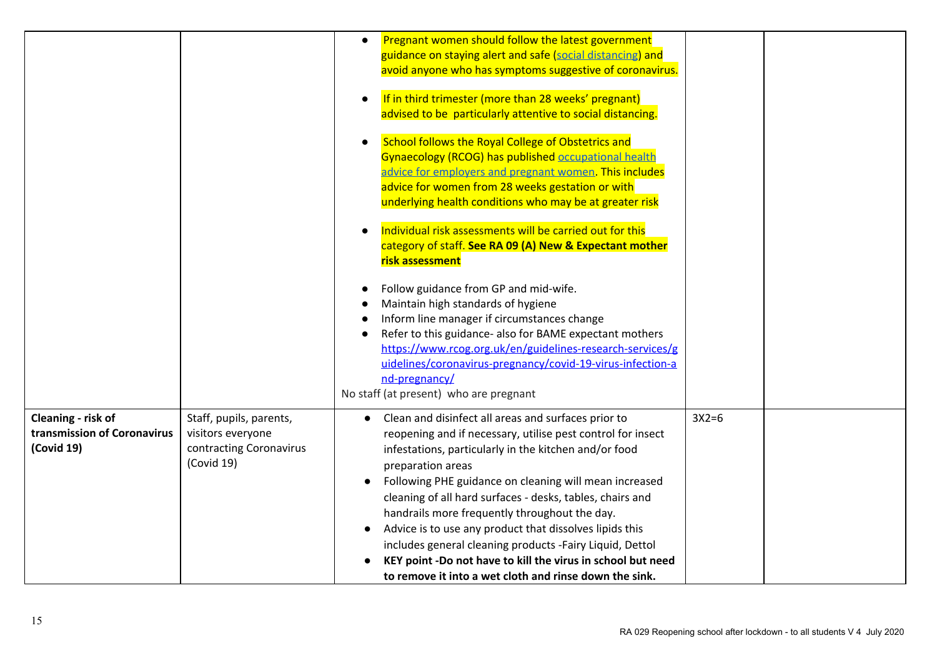|                                                                 |                                                                                       | Pregnant women should follow the latest government<br>guidance on staying alert and safe (social distancing) and<br>avoid anyone who has symptoms suggestive of coronavirus.<br>If in third trimester (more than 28 weeks' pregnant)<br>advised to be particularly attentive to social distancing.<br>School follows the Royal College of Obstetrics and<br>Gynaecology (RCOG) has published occupational health<br>advice for emplovers and pregnant women. This includes<br>advice for women from 28 weeks gestation or with<br>underlying health conditions who may be at greater risk<br>Individual risk assessments will be carried out for this<br>category of staff. See RA 09 (A) New & Expectant mother<br>risk assessment<br>Follow guidance from GP and mid-wife.<br>Maintain high standards of hygiene<br>Inform line manager if circumstances change<br>Refer to this guidance- also for BAME expectant mothers<br>https://www.rcog.org.uk/en/guidelines-research-services/g<br>uidelines/coronavirus-pregnancy/covid-19-virus-infection-a<br>nd-pregnancy/<br>No staff (at present) who are pregnant |         |  |
|-----------------------------------------------------------------|---------------------------------------------------------------------------------------|--------------------------------------------------------------------------------------------------------------------------------------------------------------------------------------------------------------------------------------------------------------------------------------------------------------------------------------------------------------------------------------------------------------------------------------------------------------------------------------------------------------------------------------------------------------------------------------------------------------------------------------------------------------------------------------------------------------------------------------------------------------------------------------------------------------------------------------------------------------------------------------------------------------------------------------------------------------------------------------------------------------------------------------------------------------------------------------------------------------------|---------|--|
| Cleaning - risk of<br>transmission of Coronavirus<br>(Covid 19) | Staff, pupils, parents,<br>visitors everyone<br>contracting Coronavirus<br>(Covid 19) | Clean and disinfect all areas and surfaces prior to<br>$\bullet$<br>reopening and if necessary, utilise pest control for insect<br>infestations, particularly in the kitchen and/or food<br>preparation areas<br>Following PHE guidance on cleaning will mean increased<br>cleaning of all hard surfaces - desks, tables, chairs and<br>handrails more frequently throughout the day.<br>Advice is to use any product that dissolves lipids this<br>includes general cleaning products -Fairy Liquid, Dettol<br>KEY point -Do not have to kill the virus in school but need<br>to remove it into a wet cloth and rinse down the sink.                                                                                                                                                                                                                                                                                                                                                                                                                                                                              | $3X2=6$ |  |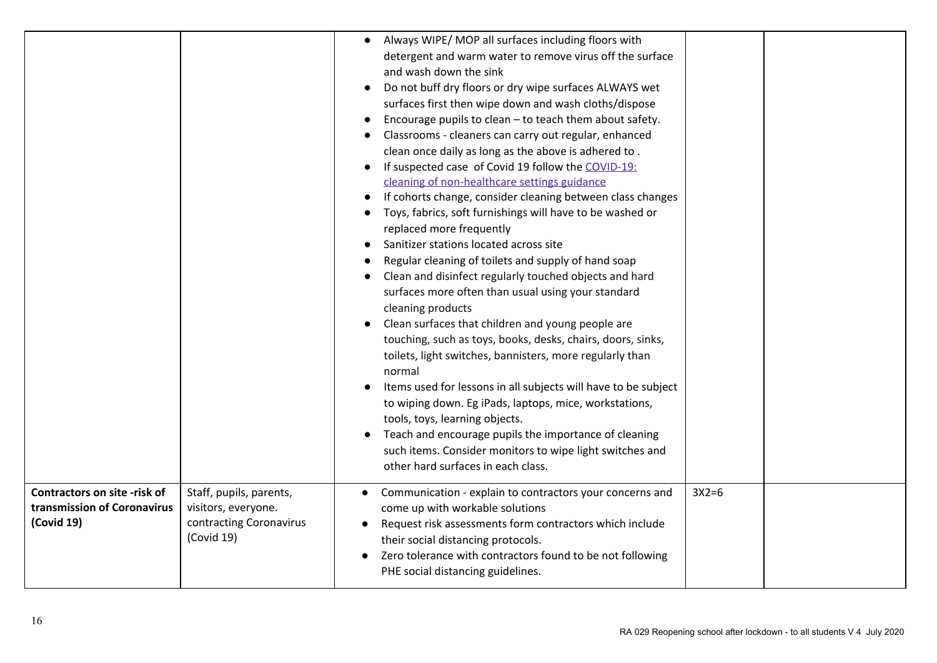|                                                                           |                                                                                         | Always WIPE/ MOP all surfaces including floors with<br>$\bullet$<br>detergent and warm water to remove virus off the surface<br>and wash down the sink<br>Do not buff dry floors or dry wipe surfaces ALWAYS wet<br>surfaces first then wipe down and wash cloths/dispose<br>Encourage pupils to clean - to teach them about safety.<br>Classrooms - cleaners can carry out regular, enhanced<br>clean once daily as long as the above is adhered to.<br>If suspected case of Covid 19 follow the COVID-19:<br>cleaning of non-healthcare settings guidance<br>If cohorts change, consider cleaning between class changes<br>Toys, fabrics, soft furnishings will have to be washed or<br>replaced more frequently<br>Sanitizer stations located across site<br>Regular cleaning of toilets and supply of hand soap<br>Clean and disinfect regularly touched objects and hard<br>surfaces more often than usual using your standard<br>cleaning products<br>Clean surfaces that children and young people are<br>touching, such as toys, books, desks, chairs, doors, sinks,<br>toilets, light switches, bannisters, more regularly than<br>normal<br>Items used for lessons in all subjects will have to be subject<br>to wiping down. Eg iPads, laptops, mice, workstations,<br>tools, toys, learning objects.<br>Teach and encourage pupils the importance of cleaning<br>such items. Consider monitors to wipe light switches and<br>other hard surfaces in each class. |  |
|---------------------------------------------------------------------------|-----------------------------------------------------------------------------------------|-----------------------------------------------------------------------------------------------------------------------------------------------------------------------------------------------------------------------------------------------------------------------------------------------------------------------------------------------------------------------------------------------------------------------------------------------------------------------------------------------------------------------------------------------------------------------------------------------------------------------------------------------------------------------------------------------------------------------------------------------------------------------------------------------------------------------------------------------------------------------------------------------------------------------------------------------------------------------------------------------------------------------------------------------------------------------------------------------------------------------------------------------------------------------------------------------------------------------------------------------------------------------------------------------------------------------------------------------------------------------------------------------------------------------------------------------------------------------------|--|
| Contractors on site -risk of<br>transmission of Coronavirus<br>(Covid 19) | Staff, pupils, parents,<br>visitors, everyone.<br>contracting Coronavirus<br>(Covid 19) | $3X2=6$<br>Communication - explain to contractors your concerns and<br>come up with workable solutions<br>Request risk assessments form contractors which include<br>their social distancing protocols.<br>Zero tolerance with contractors found to be not following<br>$\bullet$<br>PHE social distancing guidelines.                                                                                                                                                                                                                                                                                                                                                                                                                                                                                                                                                                                                                                                                                                                                                                                                                                                                                                                                                                                                                                                                                                                                                      |  |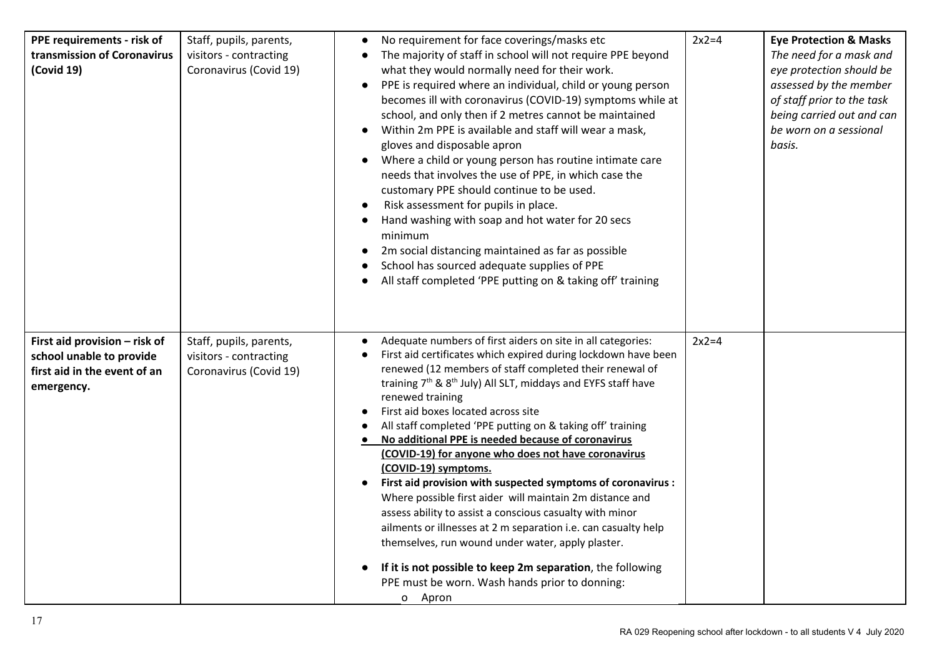| PPE requirements - risk of<br>transmission of Coronavirus<br>(Covid 19)                                 | Staff, pupils, parents,<br>visitors - contracting<br>Coronavirus (Covid 19) | No requirement for face coverings/masks etc<br>The majority of staff in school will not require PPE beyond<br>what they would normally need for their work.<br>PPE is required where an individual, child or young person<br>becomes ill with coronavirus (COVID-19) symptoms while at<br>school, and only then if 2 metres cannot be maintained<br>Within 2m PPE is available and staff will wear a mask,<br>gloves and disposable apron<br>Where a child or young person has routine intimate care<br>$\bullet$<br>needs that involves the use of PPE, in which case the<br>customary PPE should continue to be used.<br>Risk assessment for pupils in place.<br>Hand washing with soap and hot water for 20 secs<br>minimum<br>2m social distancing maintained as far as possible<br>School has sourced adequate supplies of PPE<br>All staff completed 'PPE putting on & taking off' training                                                                                         | $2x2=4$ | <b>Eye Protection &amp; Masks</b><br>The need for a mask and<br>eye protection should be<br>assessed by the member<br>of staff prior to the task<br>being carried out and can<br>be worn on a sessional<br>basis. |
|---------------------------------------------------------------------------------------------------------|-----------------------------------------------------------------------------|-------------------------------------------------------------------------------------------------------------------------------------------------------------------------------------------------------------------------------------------------------------------------------------------------------------------------------------------------------------------------------------------------------------------------------------------------------------------------------------------------------------------------------------------------------------------------------------------------------------------------------------------------------------------------------------------------------------------------------------------------------------------------------------------------------------------------------------------------------------------------------------------------------------------------------------------------------------------------------------------|---------|-------------------------------------------------------------------------------------------------------------------------------------------------------------------------------------------------------------------|
| First aid provision - risk of<br>school unable to provide<br>first aid in the event of an<br>emergency. | Staff, pupils, parents,<br>visitors - contracting<br>Coronavirus (Covid 19) | Adequate numbers of first aiders on site in all categories:<br>First aid certificates which expired during lockdown have been<br>renewed (12 members of staff completed their renewal of<br>training 7 <sup>th</sup> & 8 <sup>th</sup> July) All SLT, middays and EYFS staff have<br>renewed training<br>First aid boxes located across site<br>All staff completed 'PPE putting on & taking off' training<br>No additional PPE is needed because of coronavirus<br>(COVID-19) for anyone who does not have coronavirus<br>(COVID-19) symptoms.<br>First aid provision with suspected symptoms of coronavirus :<br>Where possible first aider will maintain 2m distance and<br>assess ability to assist a conscious casualty with minor<br>ailments or illnesses at 2 m separation i.e. can casualty help<br>themselves, run wound under water, apply plaster.<br>If it is not possible to keep 2m separation, the following<br>PPE must be worn. Wash hands prior to donning:<br>o Apron | $2x2=4$ |                                                                                                                                                                                                                   |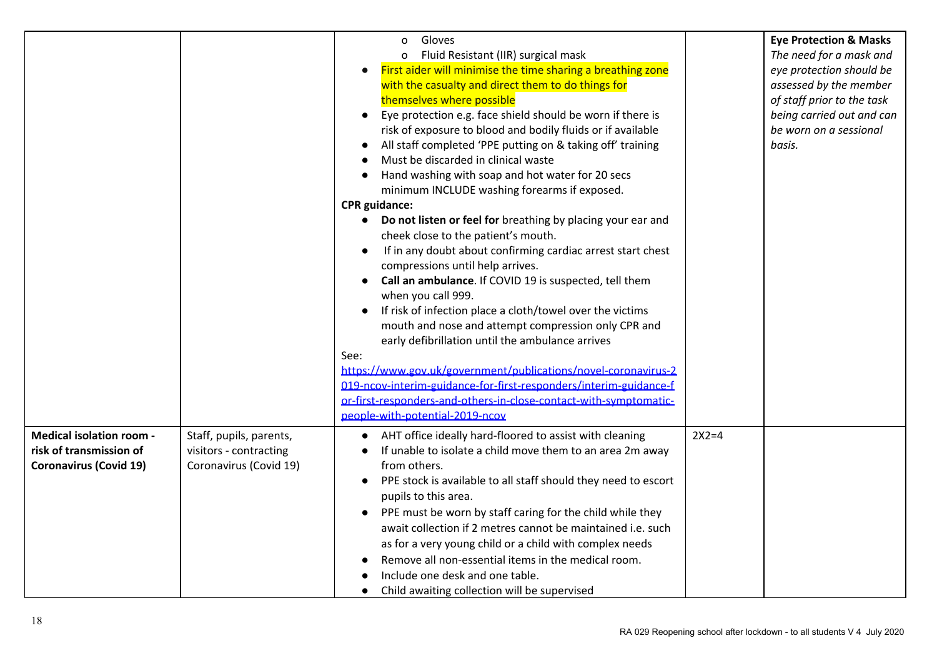|                                 |                         | Gloves<br>$\mathsf{o}$                                                      |         | <b>Eye Protection &amp; Masks</b> |
|---------------------------------|-------------------------|-----------------------------------------------------------------------------|---------|-----------------------------------|
|                                 |                         | Fluid Resistant (IIR) surgical mask<br>$\mathsf{o}$                         |         | The need for a mask and           |
|                                 |                         | First aider will minimise the time sharing a breathing zone                 |         | eye protection should be          |
|                                 |                         | with the casualty and direct them to do things for                          |         | assessed by the member            |
|                                 |                         | themselves where possible                                                   |         | of staff prior to the task        |
|                                 |                         | Eye protection e.g. face shield should be worn if there is<br>$\bullet$     |         | being carried out and can         |
|                                 |                         | risk of exposure to blood and bodily fluids or if available                 |         | be worn on a sessional            |
|                                 |                         | All staff completed 'PPE putting on & taking off' training                  |         | basis.                            |
|                                 |                         | Must be discarded in clinical waste                                         |         |                                   |
|                                 |                         | Hand washing with soap and hot water for 20 secs                            |         |                                   |
|                                 |                         | minimum INCLUDE washing forearms if exposed.                                |         |                                   |
|                                 |                         | <b>CPR</b> guidance:                                                        |         |                                   |
|                                 |                         | Do not listen or feel for breathing by placing your ear and                 |         |                                   |
|                                 |                         | cheek close to the patient's mouth.                                         |         |                                   |
|                                 |                         | If in any doubt about confirming cardiac arrest start chest                 |         |                                   |
|                                 |                         | compressions until help arrives.                                            |         |                                   |
|                                 |                         | Call an ambulance. If COVID 19 is suspected, tell them<br>$\bullet$         |         |                                   |
|                                 |                         | when you call 999.                                                          |         |                                   |
|                                 |                         | If risk of infection place a cloth/towel over the victims                   |         |                                   |
|                                 |                         | mouth and nose and attempt compression only CPR and                         |         |                                   |
|                                 |                         | early defibrillation until the ambulance arrives                            |         |                                   |
|                                 |                         | See:                                                                        |         |                                   |
|                                 |                         | https://www.gov.uk/government/publications/novel-coronavirus-2              |         |                                   |
|                                 |                         | 019-ncov-interim-guidance-for-first-responders/interim-guidance-f           |         |                                   |
|                                 |                         | or-first-responders-and-others-in-close-contact-with-symptomatic-           |         |                                   |
|                                 |                         | people-with-potential-2019-ncov                                             |         |                                   |
| <b>Medical isolation room -</b> | Staff, pupils, parents, | AHT office ideally hard-floored to assist with cleaning                     | $2X2=4$ |                                   |
| risk of transmission of         | visitors - contracting  | If unable to isolate a child move them to an area 2m away                   |         |                                   |
| <b>Coronavirus (Covid 19)</b>   | Coronavirus (Covid 19)  | from others.                                                                |         |                                   |
|                                 |                         | PPE stock is available to all staff should they need to escort<br>$\bullet$ |         |                                   |
|                                 |                         | pupils to this area.                                                        |         |                                   |
|                                 |                         | PPE must be worn by staff caring for the child while they<br>$\bullet$      |         |                                   |
|                                 |                         | await collection if 2 metres cannot be maintained i.e. such                 |         |                                   |
|                                 |                         | as for a very young child or a child with complex needs                     |         |                                   |
|                                 |                         | Remove all non-essential items in the medical room.                         |         |                                   |
|                                 |                         | Include one desk and one table.                                             |         |                                   |
|                                 |                         |                                                                             |         |                                   |
|                                 |                         | Child awaiting collection will be supervised<br>$\bullet$                   |         |                                   |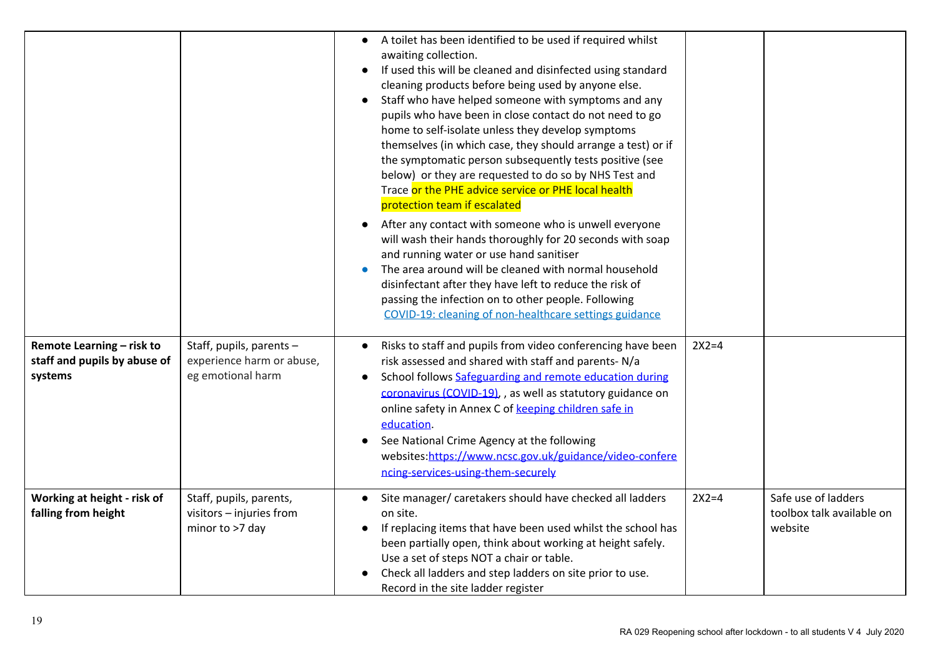|                                                                      |                                                                            | A toilet has been identified to be used if required whilst<br>$\bullet$<br>awaiting collection.<br>If used this will be cleaned and disinfected using standard<br>$\bullet$<br>cleaning products before being used by anyone else.<br>Staff who have helped someone with symptoms and any<br>pupils who have been in close contact do not need to go<br>home to self-isolate unless they develop symptoms<br>themselves (in which case, they should arrange a test) or if<br>the symptomatic person subsequently tests positive (see<br>below) or they are requested to do so by NHS Test and<br>Trace or the PHE advice service or PHE local health<br>protection team if escalated<br>After any contact with someone who is unwell everyone<br>will wash their hands thoroughly for 20 seconds with soap<br>and running water or use hand sanitiser<br>The area around will be cleaned with normal household<br>disinfectant after they have left to reduce the risk of<br>passing the infection on to other people. Following<br>COVID-19: cleaning of non-healthcare settings guidance |         |                                                             |
|----------------------------------------------------------------------|----------------------------------------------------------------------------|--------------------------------------------------------------------------------------------------------------------------------------------------------------------------------------------------------------------------------------------------------------------------------------------------------------------------------------------------------------------------------------------------------------------------------------------------------------------------------------------------------------------------------------------------------------------------------------------------------------------------------------------------------------------------------------------------------------------------------------------------------------------------------------------------------------------------------------------------------------------------------------------------------------------------------------------------------------------------------------------------------------------------------------------------------------------------------------------|---------|-------------------------------------------------------------|
| Remote Learning - risk to<br>staff and pupils by abuse of<br>systems | Staff, pupils, parents -<br>experience harm or abuse,<br>eg emotional harm | Risks to staff and pupils from video conferencing have been<br>risk assessed and shared with staff and parents-N/a<br>School follows Safeguarding and remote education during<br>coronavirus (COVID-19), , as well as statutory guidance on<br>online safety in Annex C of keeping children safe in<br>education.<br>See National Crime Agency at the following<br>websites:https://www.ncsc.gov.uk/guidance/video-confere<br>ncing-services-using-them-securely                                                                                                                                                                                                                                                                                                                                                                                                                                                                                                                                                                                                                           | $2X2=4$ |                                                             |
| Working at height - risk of<br>falling from height                   | Staff, pupils, parents,<br>visitors - injuries from<br>minor to >7 day     | Site manager/ caretakers should have checked all ladders<br>on site.<br>If replacing items that have been used whilst the school has<br>been partially open, think about working at height safely.<br>Use a set of steps NOT a chair or table.<br>Check all ladders and step ladders on site prior to use.<br>Record in the site ladder register                                                                                                                                                                                                                                                                                                                                                                                                                                                                                                                                                                                                                                                                                                                                           | $2X2=4$ | Safe use of ladders<br>toolbox talk available on<br>website |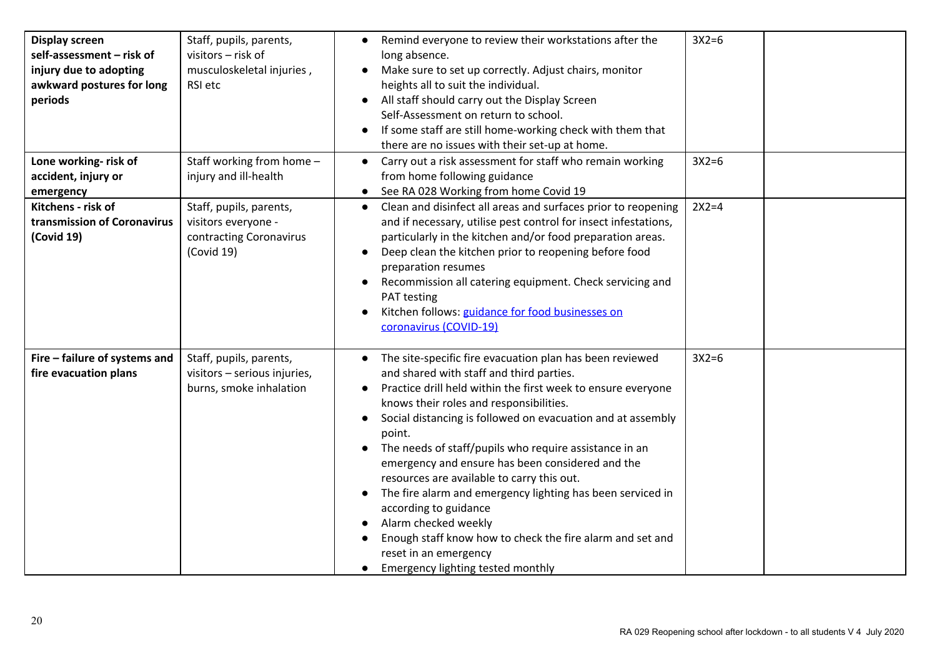| <b>Display screen</b><br>self-assessment - risk of<br>injury due to adopting<br>awkward postures for long<br>periods<br>Lone working- risk of<br>accident, injury or | Staff, pupils, parents,<br>visitors - risk of<br>musculoskeletal injuries,<br>RSI etc<br>Staff working from home -<br>injury and ill-health | Remind everyone to review their workstations after the<br>$\bullet$<br>long absence.<br>Make sure to set up correctly. Adjust chairs, monitor<br>heights all to suit the individual.<br>All staff should carry out the Display Screen<br>$\bullet$<br>Self-Assessment on return to school.<br>If some staff are still home-working check with them that<br>there are no issues with their set-up at home.<br>Carry out a risk assessment for staff who remain working<br>from home following guidance                                                                                                                                                                                                         | $3X2=6$<br>$3X2=6$ |  |
|----------------------------------------------------------------------------------------------------------------------------------------------------------------------|---------------------------------------------------------------------------------------------------------------------------------------------|---------------------------------------------------------------------------------------------------------------------------------------------------------------------------------------------------------------------------------------------------------------------------------------------------------------------------------------------------------------------------------------------------------------------------------------------------------------------------------------------------------------------------------------------------------------------------------------------------------------------------------------------------------------------------------------------------------------|--------------------|--|
| emergency                                                                                                                                                            |                                                                                                                                             | See RA 028 Working from home Covid 19                                                                                                                                                                                                                                                                                                                                                                                                                                                                                                                                                                                                                                                                         |                    |  |
| Kitchens - risk of<br>transmission of Coronavirus<br>(Covid 19)                                                                                                      | Staff, pupils, parents,<br>visitors everyone -<br>contracting Coronavirus<br>(Covid 19)                                                     | Clean and disinfect all areas and surfaces prior to reopening<br>$\bullet$<br>and if necessary, utilise pest control for insect infestations,<br>particularly in the kitchen and/or food preparation areas.<br>Deep clean the kitchen prior to reopening before food<br>$\bullet$<br>preparation resumes<br>Recommission all catering equipment. Check servicing and<br>PAT testing<br>Kitchen follows: guidance for food businesses on<br>$\bullet$<br>coronavirus (COVID-19)                                                                                                                                                                                                                                | $2X2=4$            |  |
| Fire - failure of systems and<br>fire evacuation plans                                                                                                               | Staff, pupils, parents,<br>visitors - serious injuries,<br>burns, smoke inhalation                                                          | • The site-specific fire evacuation plan has been reviewed<br>and shared with staff and third parties.<br>Practice drill held within the first week to ensure everyone<br>knows their roles and responsibilities.<br>Social distancing is followed on evacuation and at assembly<br>$\bullet$<br>point.<br>The needs of staff/pupils who require assistance in an<br>emergency and ensure has been considered and the<br>resources are available to carry this out.<br>The fire alarm and emergency lighting has been serviced in<br>according to guidance<br>Alarm checked weekly<br>Enough staff know how to check the fire alarm and set and<br>reset in an emergency<br>Emergency lighting tested monthly | $3X2=6$            |  |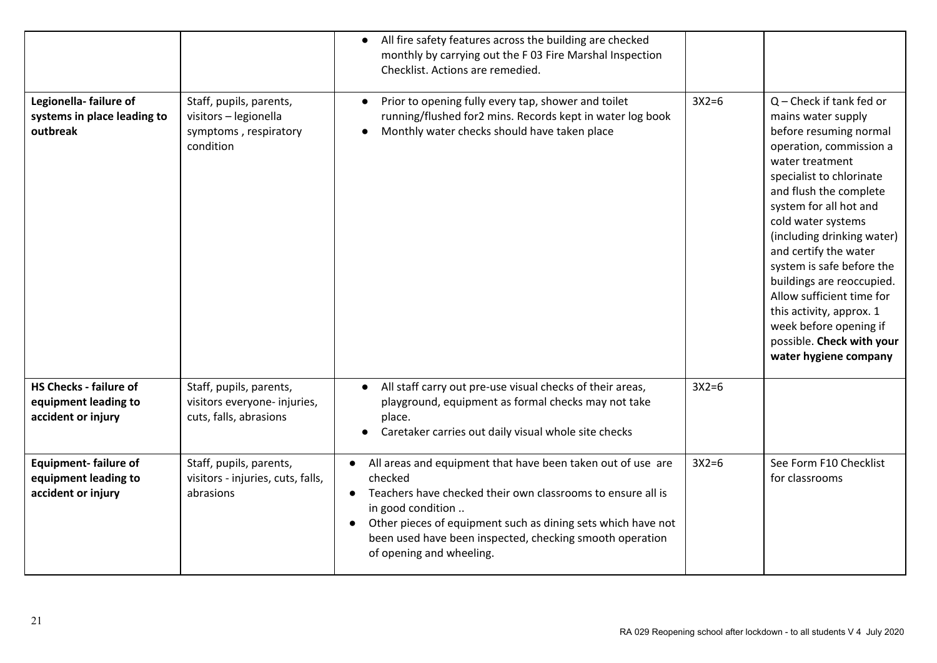|                                                                             |                                                                                        | All fire safety features across the building are checked<br>monthly by carrying out the F 03 Fire Marshal Inspection<br>Checklist. Actions are remedied.                                                                                                                                                           |         |                                                                                                                                                                                                                                                                                                                                                                                                                                                                                          |
|-----------------------------------------------------------------------------|----------------------------------------------------------------------------------------|--------------------------------------------------------------------------------------------------------------------------------------------------------------------------------------------------------------------------------------------------------------------------------------------------------------------|---------|------------------------------------------------------------------------------------------------------------------------------------------------------------------------------------------------------------------------------------------------------------------------------------------------------------------------------------------------------------------------------------------------------------------------------------------------------------------------------------------|
| Legionella-failure of<br>systems in place leading to<br>outbreak            | Staff, pupils, parents,<br>visitors - legionella<br>symptoms, respiratory<br>condition | Prior to opening fully every tap, shower and toilet<br>running/flushed for2 mins. Records kept in water log book<br>Monthly water checks should have taken place                                                                                                                                                   | $3X2=6$ | $Q$ – Check if tank fed or<br>mains water supply<br>before resuming normal<br>operation, commission a<br>water treatment<br>specialist to chlorinate<br>and flush the complete<br>system for all hot and<br>cold water systems<br>(including drinking water)<br>and certify the water<br>system is safe before the<br>buildings are reoccupied.<br>Allow sufficient time for<br>this activity, approx. 1<br>week before opening if<br>possible. Check with your<br>water hygiene company |
| <b>HS Checks - failure of</b><br>equipment leading to<br>accident or injury | Staff, pupils, parents,<br>visitors everyone- injuries,<br>cuts, falls, abrasions      | All staff carry out pre-use visual checks of their areas,<br>playground, equipment as formal checks may not take<br>place.<br>Caretaker carries out daily visual whole site checks                                                                                                                                 | $3X2=6$ |                                                                                                                                                                                                                                                                                                                                                                                                                                                                                          |
| <b>Equipment-failure of</b><br>equipment leading to<br>accident or injury   | Staff, pupils, parents,<br>visitors - injuries, cuts, falls,<br>abrasions              | All areas and equipment that have been taken out of use are<br>checked<br>Teachers have checked their own classrooms to ensure all is<br>in good condition<br>Other pieces of equipment such as dining sets which have not<br>been used have been inspected, checking smooth operation<br>of opening and wheeling. | $3X2=6$ | See Form F10 Checklist<br>for classrooms                                                                                                                                                                                                                                                                                                                                                                                                                                                 |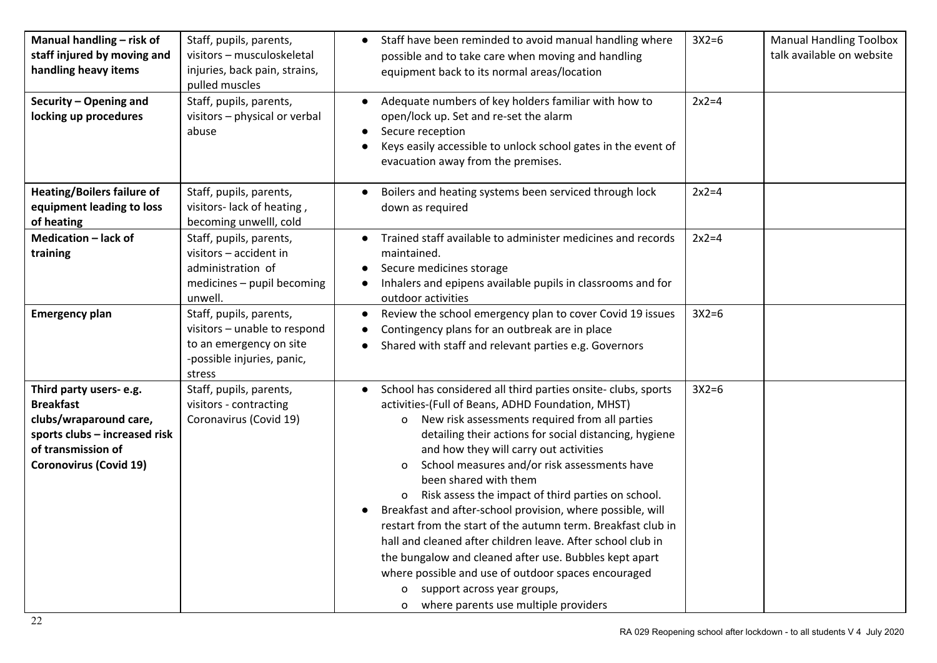| Manual handling - risk of<br>staff injured by moving and<br>handling heavy items                                                                              | Staff, pupils, parents,<br>visitors - musculoskeletal<br>injuries, back pain, strains,<br>pulled muscles                   | Staff have been reminded to avoid manual handling where<br>possible and to take care when moving and handling<br>equipment back to its normal areas/location                                                                                                                                                                                                                                                                                                                                                                                                                                                                                                                                                                                                                                                                    | $3X2=6$ | <b>Manual Handling Toolbox</b><br>talk available on website |
|---------------------------------------------------------------------------------------------------------------------------------------------------------------|----------------------------------------------------------------------------------------------------------------------------|---------------------------------------------------------------------------------------------------------------------------------------------------------------------------------------------------------------------------------------------------------------------------------------------------------------------------------------------------------------------------------------------------------------------------------------------------------------------------------------------------------------------------------------------------------------------------------------------------------------------------------------------------------------------------------------------------------------------------------------------------------------------------------------------------------------------------------|---------|-------------------------------------------------------------|
| Security - Opening and<br>locking up procedures                                                                                                               | Staff, pupils, parents,<br>visitors - physical or verbal<br>abuse                                                          | Adequate numbers of key holders familiar with how to<br>open/lock up. Set and re-set the alarm<br>Secure reception<br>Keys easily accessible to unlock school gates in the event of<br>evacuation away from the premises.                                                                                                                                                                                                                                                                                                                                                                                                                                                                                                                                                                                                       | $2x2=4$ |                                                             |
| <b>Heating/Boilers failure of</b><br>equipment leading to loss<br>of heating                                                                                  | Staff, pupils, parents,<br>visitors-lack of heating,<br>becoming unwelll, cold                                             | Boilers and heating systems been serviced through lock<br>down as required                                                                                                                                                                                                                                                                                                                                                                                                                                                                                                                                                                                                                                                                                                                                                      | $2x2=4$ |                                                             |
| Medication - lack of<br>training                                                                                                                              | Staff, pupils, parents,<br>visitors - accident in<br>administration of<br>medicines - pupil becoming<br>unwell.            | Trained staff available to administer medicines and records<br>$\bullet$<br>maintained.<br>Secure medicines storage<br>Inhalers and epipens available pupils in classrooms and for<br>$\bullet$<br>outdoor activities                                                                                                                                                                                                                                                                                                                                                                                                                                                                                                                                                                                                           | $2x2=4$ |                                                             |
| <b>Emergency plan</b>                                                                                                                                         | Staff, pupils, parents,<br>visitors - unable to respond<br>to an emergency on site<br>-possible injuries, panic,<br>stress | Review the school emergency plan to cover Covid 19 issues<br>$\bullet$<br>Contingency plans for an outbreak are in place<br>Shared with staff and relevant parties e.g. Governors                                                                                                                                                                                                                                                                                                                                                                                                                                                                                                                                                                                                                                               | $3X2=6$ |                                                             |
| Third party users- e.g.<br><b>Breakfast</b><br>clubs/wraparound care,<br>sports clubs - increased risk<br>of transmission of<br><b>Coronovirus (Covid 19)</b> | Staff, pupils, parents,<br>visitors - contracting<br>Coronavirus (Covid 19)                                                | School has considered all third parties onsite-clubs, sports<br>activities-(Full of Beans, ADHD Foundation, MHST)<br>New risk assessments required from all parties<br>$\mathsf{o}$<br>detailing their actions for social distancing, hygiene<br>and how they will carry out activities<br>School measures and/or risk assessments have<br>been shared with them<br>Risk assess the impact of third parties on school.<br>Breakfast and after-school provision, where possible, will<br>$\bullet$<br>restart from the start of the autumn term. Breakfast club in<br>hall and cleaned after children leave. After school club in<br>the bungalow and cleaned after use. Bubbles kept apart<br>where possible and use of outdoor spaces encouraged<br>support across year groups,<br>0<br>o where parents use multiple providers | $3X2=6$ |                                                             |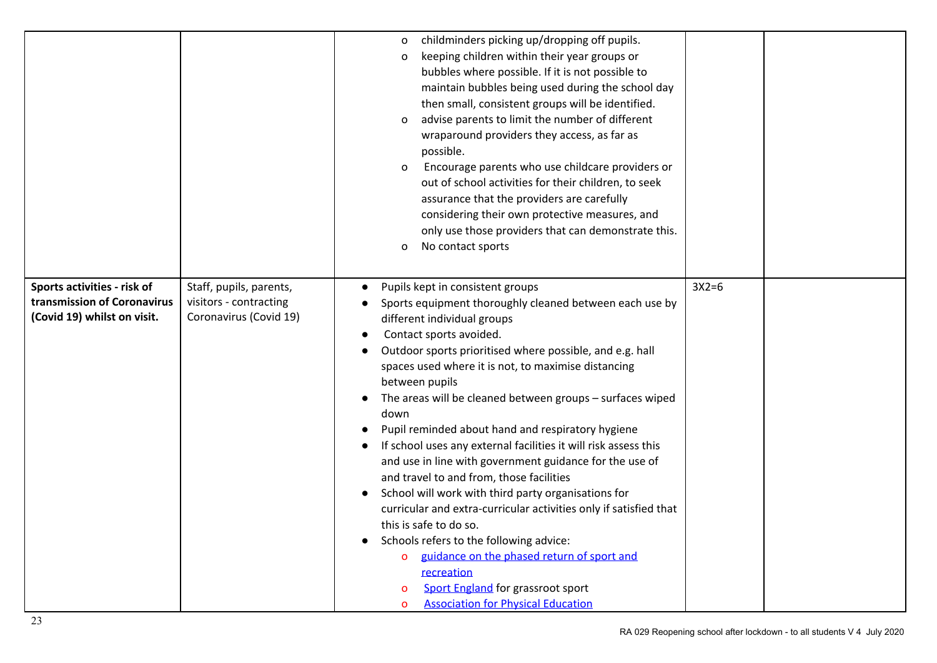|                                                                                           |                                                                             | childminders picking up/dropping off pupils.<br>$\circ$<br>keeping children within their year groups or<br>$\circ$<br>bubbles where possible. If it is not possible to<br>maintain bubbles being used during the school day<br>then small, consistent groups will be identified.<br>advise parents to limit the number of different<br>$\circ$<br>wraparound providers they access, as far as<br>possible.<br>Encourage parents who use childcare providers or<br>$\mathbf{o}$<br>out of school activities for their children, to seek<br>assurance that the providers are carefully<br>considering their own protective measures, and<br>only use those providers that can demonstrate this.<br>No contact sports<br>O                                                                                                                                                                                                                                                                         |         |  |
|-------------------------------------------------------------------------------------------|-----------------------------------------------------------------------------|-------------------------------------------------------------------------------------------------------------------------------------------------------------------------------------------------------------------------------------------------------------------------------------------------------------------------------------------------------------------------------------------------------------------------------------------------------------------------------------------------------------------------------------------------------------------------------------------------------------------------------------------------------------------------------------------------------------------------------------------------------------------------------------------------------------------------------------------------------------------------------------------------------------------------------------------------------------------------------------------------|---------|--|
| Sports activities - risk of<br>transmission of Coronavirus<br>(Covid 19) whilst on visit. | Staff, pupils, parents,<br>visitors - contracting<br>Coronavirus (Covid 19) | Pupils kept in consistent groups<br>Sports equipment thoroughly cleaned between each use by<br>different individual groups<br>Contact sports avoided.<br>$\bullet$<br>Outdoor sports prioritised where possible, and e.g. hall<br>spaces used where it is not, to maximise distancing<br>between pupils<br>The areas will be cleaned between groups - surfaces wiped<br>down<br>Pupil reminded about hand and respiratory hygiene<br>If school uses any external facilities it will risk assess this<br>and use in line with government guidance for the use of<br>and travel to and from, those facilities<br>School will work with third party organisations for<br>curricular and extra-curricular activities only if satisfied that<br>this is safe to do so.<br>Schools refers to the following advice:<br>guidance on the phased return of sport and<br>$\mathbf{o}$<br>recreation<br>Sport England for grassroot sport<br>o<br><b>Association for Physical Education</b><br>$\mathbf{o}$ | $3X2=6$ |  |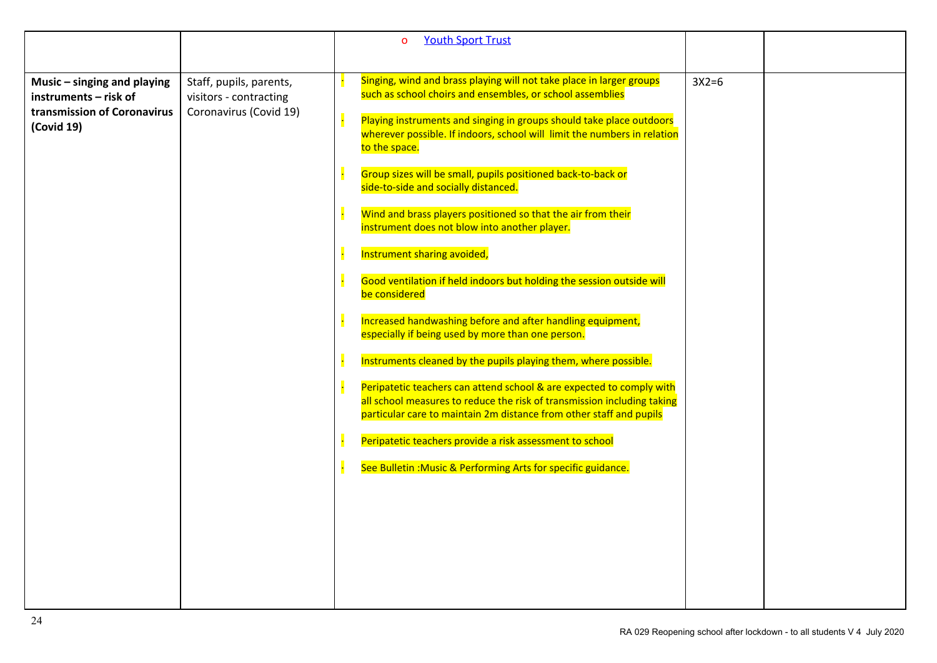|                                                                                       |                                                                             | <b>Youth Sport Trust</b><br>$\mathbf{O}$                                                                                                                                                                               |         |  |
|---------------------------------------------------------------------------------------|-----------------------------------------------------------------------------|------------------------------------------------------------------------------------------------------------------------------------------------------------------------------------------------------------------------|---------|--|
|                                                                                       |                                                                             |                                                                                                                                                                                                                        |         |  |
| Music $-$ singing and playing<br>instruments - risk of<br>transmission of Coronavirus | Staff, pupils, parents,<br>visitors - contracting<br>Coronavirus (Covid 19) | Singing, wind and brass playing will not take place in larger groups<br>such as school choirs and ensembles, or school assemblies                                                                                      | $3X2=6$ |  |
| (Covid 19)                                                                            |                                                                             | Playing instruments and singing in groups should take place outdoors<br>wherever possible. If indoors, school will limit the numbers in relation<br>to the space.                                                      |         |  |
|                                                                                       |                                                                             | Group sizes will be small, pupils positioned back-to-back or<br>side-to-side and socially distanced.                                                                                                                   |         |  |
|                                                                                       |                                                                             | Wind and brass players positioned so that the air from their<br>instrument does not blow into another player.                                                                                                          |         |  |
|                                                                                       |                                                                             | Instrument sharing avoided,                                                                                                                                                                                            |         |  |
|                                                                                       |                                                                             | Good ventilation if held indoors but holding the session outside will<br>be considered                                                                                                                                 |         |  |
|                                                                                       |                                                                             | Increased handwashing before and after handling equipment,<br>especially if being used by more than one person.                                                                                                        |         |  |
|                                                                                       |                                                                             | Instruments cleaned by the pupils playing them, where possible.                                                                                                                                                        |         |  |
|                                                                                       |                                                                             | Peripatetic teachers can attend school & are expected to comply with<br>all school measures to reduce the risk of transmission including taking<br>particular care to maintain 2m distance from other staff and pupils |         |  |
|                                                                                       |                                                                             | Peripatetic teachers provide a risk assessment to school                                                                                                                                                               |         |  |
|                                                                                       |                                                                             | See Bulletin: Music & Performing Arts for specific guidance.                                                                                                                                                           |         |  |
|                                                                                       |                                                                             |                                                                                                                                                                                                                        |         |  |
|                                                                                       |                                                                             |                                                                                                                                                                                                                        |         |  |
|                                                                                       |                                                                             |                                                                                                                                                                                                                        |         |  |
|                                                                                       |                                                                             |                                                                                                                                                                                                                        |         |  |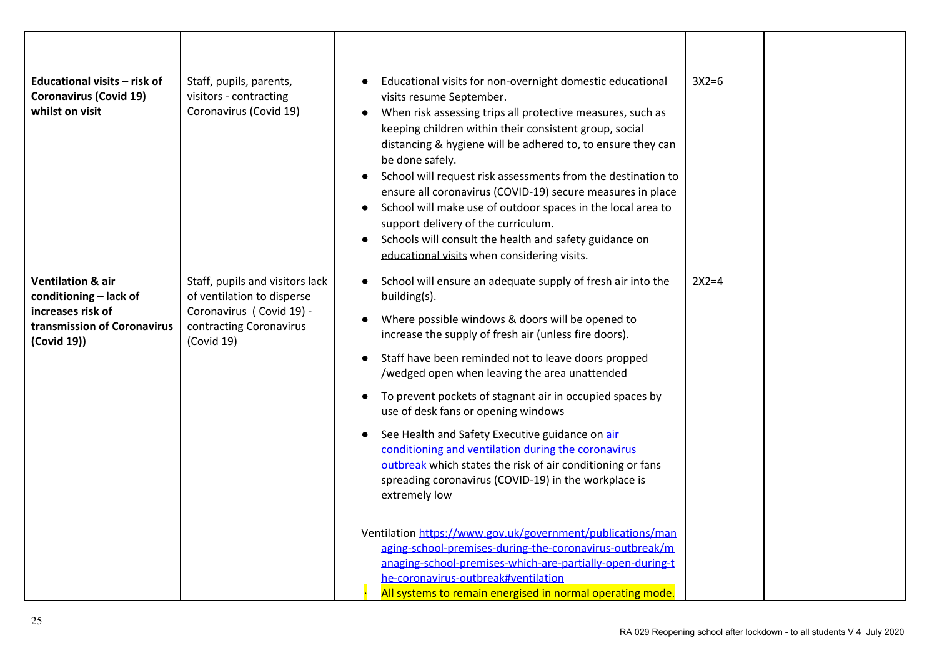| Educational visits - risk of<br><b>Coronavirus (Covid 19)</b><br>whilst on visit                                          | Staff, pupils, parents,<br>visitors - contracting<br>Coronavirus (Covid 19)                                                        | Educational visits for non-overnight domestic educational<br>$\bullet$<br>visits resume September.<br>When risk assessing trips all protective measures, such as<br>$\bullet$<br>keeping children within their consistent group, social<br>distancing & hygiene will be adhered to, to ensure they can<br>be done safely.<br>School will request risk assessments from the destination to<br>ensure all coronavirus (COVID-19) secure measures in place<br>School will make use of outdoor spaces in the local area to<br>support delivery of the curriculum.<br>Schools will consult the health and safety guidance on<br>$\bullet$<br>educational visits when considering visits.                                                                                                                                                                                                                                                                           | $3X2=6$ |  |
|---------------------------------------------------------------------------------------------------------------------------|------------------------------------------------------------------------------------------------------------------------------------|---------------------------------------------------------------------------------------------------------------------------------------------------------------------------------------------------------------------------------------------------------------------------------------------------------------------------------------------------------------------------------------------------------------------------------------------------------------------------------------------------------------------------------------------------------------------------------------------------------------------------------------------------------------------------------------------------------------------------------------------------------------------------------------------------------------------------------------------------------------------------------------------------------------------------------------------------------------|---------|--|
| <b>Ventilation &amp; air</b><br>conditioning - lack of<br>increases risk of<br>transmission of Coronavirus<br>(Covid 19)) | Staff, pupils and visitors lack<br>of ventilation to disperse<br>Coronavirus (Covid 19) -<br>contracting Coronavirus<br>(Covid 19) | • School will ensure an adequate supply of fresh air into the<br>building(s).<br>Where possible windows & doors will be opened to<br>increase the supply of fresh air (unless fire doors).<br>Staff have been reminded not to leave doors propped<br>$\bullet$<br>/wedged open when leaving the area unattended<br>To prevent pockets of stagnant air in occupied spaces by<br>use of desk fans or opening windows<br>See Health and Safety Executive guidance on air<br>conditioning and ventilation during the coronavirus<br>outbreak which states the risk of air conditioning or fans<br>spreading coronavirus (COVID-19) in the workplace is<br>extremely low<br>Ventilation https://www.gov.uk/government/publications/man<br>aging-school-premises-during-the-coronavirus-outbreak/m<br>anaging-school-premises-which-are-partially-open-during-t<br>he-coronavirus-outbreak#ventilation<br>All systems to remain energised in normal operating mode. | $2X2=4$ |  |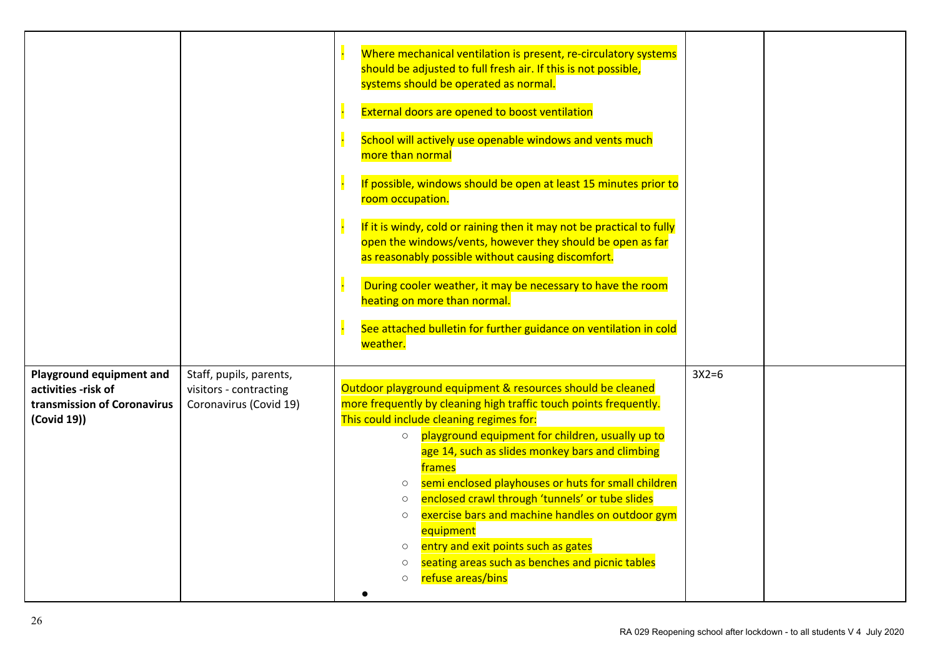|                                                                                               |                                                                             | Where mechanical ventilation is present, re-circulatory systems<br>should be adjusted to full fresh air. If this is not possible,<br>systems should be operated as normal.<br><b>External doors are opened to boost ventilation</b><br>School will actively use openable windows and vents much<br>more than normal<br>If possible, windows should be open at least 15 minutes prior to<br>room occupation.<br>If it is windy, cold or raining then it may not be practical to fully<br>open the windows/vents, however they should be open as far<br>as reasonably possible without causing discomfort.<br>During cooler weather, it may be necessary to have the room<br>heating on more than normal.<br>See attached bulletin for further guidance on ventilation in cold<br>weather. |         |  |
|-----------------------------------------------------------------------------------------------|-----------------------------------------------------------------------------|------------------------------------------------------------------------------------------------------------------------------------------------------------------------------------------------------------------------------------------------------------------------------------------------------------------------------------------------------------------------------------------------------------------------------------------------------------------------------------------------------------------------------------------------------------------------------------------------------------------------------------------------------------------------------------------------------------------------------------------------------------------------------------------|---------|--|
| Playground equipment and<br>activities -risk of<br>transmission of Coronavirus<br>(Covid 19)) | Staff, pupils, parents,<br>visitors - contracting<br>Coronavirus (Covid 19) | Outdoor playground equipment & resources should be cleaned<br>more frequently by cleaning high traffic touch points frequently.<br>This could include cleaning regimes for:<br>playground equipment for children, usually up to<br>$\circ$<br>age 14, such as slides monkey bars and climbing<br>frames<br>semi enclosed playhouses or huts for small children<br>$\circ$<br>enclosed crawl through 'tunnels' or tube slides<br>$\circ$<br>exercise bars and machine handles on outdoor gym<br>$\circ$<br>equipment<br>entry and exit points such as gates<br>$\circ$<br>seating areas such as benches and picnic tables<br>$\circ$<br>refuse areas/bins<br>$\circ$                                                                                                                      | $3X2=6$ |  |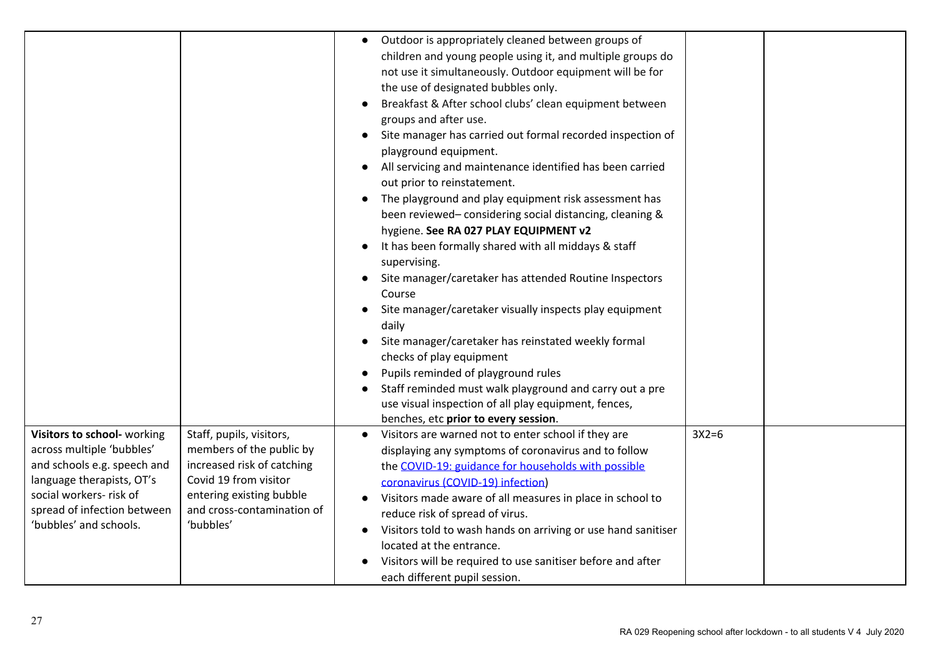|                                                                                                                                                                                                          |                                                                                                                                                                                    | Outdoor is appropriately cleaned between groups of<br>$\bullet$<br>children and young people using it, and multiple groups do<br>not use it simultaneously. Outdoor equipment will be for<br>the use of designated bubbles only.<br>Breakfast & After school clubs' clean equipment between<br>groups and after use.<br>Site manager has carried out formal recorded inspection of<br>playground equipment.<br>All servicing and maintenance identified has been carried<br>out prior to reinstatement.<br>The playground and play equipment risk assessment has<br>$\bullet$<br>been reviewed-considering social distancing, cleaning &<br>hygiene. See RA 027 PLAY EQUIPMENT v2<br>It has been formally shared with all middays & staff<br>supervising.<br>Site manager/caretaker has attended Routine Inspectors<br>Course<br>Site manager/caretaker visually inspects play equipment<br>$\bullet$<br>daily<br>Site manager/caretaker has reinstated weekly formal<br>checks of play equipment<br>Pupils reminded of playground rules<br>Staff reminded must walk playground and carry out a pre<br>use visual inspection of all play equipment, fences,<br>benches, etc prior to every session. |         |  |
|----------------------------------------------------------------------------------------------------------------------------------------------------------------------------------------------------------|------------------------------------------------------------------------------------------------------------------------------------------------------------------------------------|-----------------------------------------------------------------------------------------------------------------------------------------------------------------------------------------------------------------------------------------------------------------------------------------------------------------------------------------------------------------------------------------------------------------------------------------------------------------------------------------------------------------------------------------------------------------------------------------------------------------------------------------------------------------------------------------------------------------------------------------------------------------------------------------------------------------------------------------------------------------------------------------------------------------------------------------------------------------------------------------------------------------------------------------------------------------------------------------------------------------------------------------------------------------------------------------------------|---------|--|
| Visitors to school- working<br>across multiple 'bubbles'<br>and schools e.g. speech and<br>language therapists, OT's<br>social workers- risk of<br>spread of infection between<br>'bubbles' and schools. | Staff, pupils, visitors,<br>members of the public by<br>increased risk of catching<br>Covid 19 from visitor<br>entering existing bubble<br>and cross-contamination of<br>'bubbles' | Visitors are warned not to enter school if they are<br>$\bullet$<br>displaying any symptoms of coronavirus and to follow<br>the COVID-19: guidance for households with possible<br>coronavirus (COVID-19) infection)<br>Visitors made aware of all measures in place in school to<br>reduce risk of spread of virus.<br>Visitors told to wash hands on arriving or use hand sanitiser<br>located at the entrance.<br>Visitors will be required to use sanitiser before and after<br>each different pupil session.                                                                                                                                                                                                                                                                                                                                                                                                                                                                                                                                                                                                                                                                                   | $3X2=6$ |  |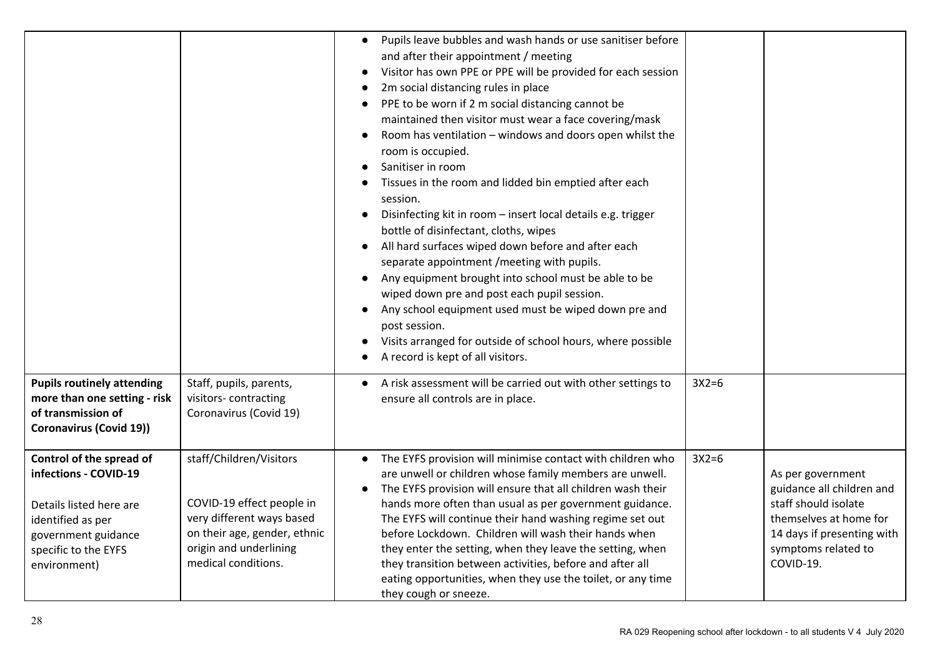|                                                                                                                                                                  |                                                                                                                                                                    | Pupils leave bubbles and wash hands or use sanitiser before<br>$\bullet$<br>and after their appointment / meeting<br>Visitor has own PPE or PPE will be provided for each session<br>2m social distancing rules in place<br>PPE to be worn if 2 m social distancing cannot be<br>$\bullet$<br>maintained then visitor must wear a face covering/mask<br>Room has ventilation - windows and doors open whilst the<br>room is occupied.<br>Sanitiser in room<br>Tissues in the room and lidded bin emptied after each<br>session.<br>Disinfecting kit in room - insert local details e.g. trigger<br>bottle of disinfectant, cloths, wipes<br>All hard surfaces wiped down before and after each<br>separate appointment / meeting with pupils.<br>Any equipment brought into school must be able to be<br>wiped down pre and post each pupil session.<br>Any school equipment used must be wiped down pre and<br>$\bullet$<br>post session.<br>Visits arranged for outside of school hours, where possible<br>A record is kept of all visitors. |         |                                                                                                                                                                    |
|------------------------------------------------------------------------------------------------------------------------------------------------------------------|--------------------------------------------------------------------------------------------------------------------------------------------------------------------|------------------------------------------------------------------------------------------------------------------------------------------------------------------------------------------------------------------------------------------------------------------------------------------------------------------------------------------------------------------------------------------------------------------------------------------------------------------------------------------------------------------------------------------------------------------------------------------------------------------------------------------------------------------------------------------------------------------------------------------------------------------------------------------------------------------------------------------------------------------------------------------------------------------------------------------------------------------------------------------------------------------------------------------------|---------|--------------------------------------------------------------------------------------------------------------------------------------------------------------------|
| <b>Pupils routinely attending</b><br>more than one setting - risk<br>of transmission of<br><b>Coronavirus (Covid 19))</b>                                        | Staff, pupils, parents,<br>visitors-contracting<br>Coronavirus (Covid 19)                                                                                          | A risk assessment will be carried out with other settings to<br>ensure all controls are in place.                                                                                                                                                                                                                                                                                                                                                                                                                                                                                                                                                                                                                                                                                                                                                                                                                                                                                                                                              | $3X2=6$ |                                                                                                                                                                    |
| Control of the spread of<br>infections - COVID-19<br>Details listed here are<br>identified as per<br>government guidance<br>specific to the EYFS<br>environment) | staff/Children/Visitors<br>COVID-19 effect people in<br>very different ways based<br>on their age, gender, ethnic<br>origin and underlining<br>medical conditions. | The EYFS provision will minimise contact with children who<br>$\bullet$<br>are unwell or children whose family members are unwell.<br>The EYFS provision will ensure that all children wash their<br>$\bullet$<br>hands more often than usual as per government guidance.<br>The EYFS will continue their hand washing regime set out<br>before Lockdown. Children will wash their hands when<br>they enter the setting, when they leave the setting, when<br>they transition between activities, before and after all<br>eating opportunities, when they use the toilet, or any time<br>they cough or sneeze.                                                                                                                                                                                                                                                                                                                                                                                                                                 | $3X2=6$ | As per government<br>guidance all children and<br>staff should isolate<br>themselves at home for<br>14 days if presenting with<br>symptoms related to<br>COVID-19. |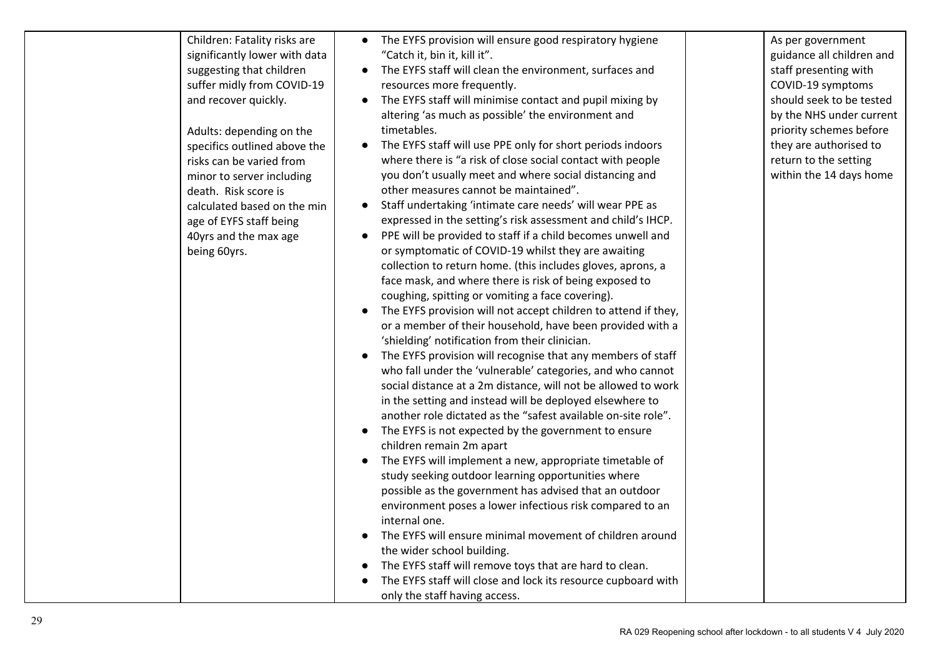| Children: Fatality risks are  | • The EYFS provision will ensure good respiratory hygiene                   | As per government         |
|-------------------------------|-----------------------------------------------------------------------------|---------------------------|
| significantly lower with data | "Catch it, bin it, kill it".                                                | guidance all children and |
| suggesting that children      | The EYFS staff will clean the environment, surfaces and<br>$\bullet$        | staff presenting with     |
| suffer midly from COVID-19    | resources more frequently.                                                  | COVID-19 symptoms         |
| and recover quickly.          | The EYFS staff will minimise contact and pupil mixing by<br>$\bullet$       | should seek to be tested  |
|                               | altering 'as much as possible' the environment and                          | by the NHS under current  |
| Adults: depending on the      | timetables.                                                                 | priority schemes before   |
| specifics outlined above the  | The EYFS staff will use PPE only for short periods indoors                  | they are authorised to    |
| risks can be varied from      | where there is "a risk of close social contact with people                  | return to the setting     |
| minor to server including     | you don't usually meet and where social distancing and                      | within the 14 days home   |
| death. Risk score is          | other measures cannot be maintained".                                       |                           |
| calculated based on the min   | Staff undertaking 'intimate care needs' will wear PPE as<br>$\bullet$       |                           |
| age of EYFS staff being       | expressed in the setting's risk assessment and child's IHCP.                |                           |
| 40yrs and the max age         | PPE will be provided to staff if a child becomes unwell and                 |                           |
| being 60yrs.                  | or symptomatic of COVID-19 whilst they are awaiting                         |                           |
|                               | collection to return home. (this includes gloves, aprons, a                 |                           |
|                               | face mask, and where there is risk of being exposed to                      |                           |
|                               | coughing, spitting or vomiting a face covering).                            |                           |
|                               | The EYFS provision will not accept children to attend if they,<br>$\bullet$ |                           |
|                               | or a member of their household, have been provided with a                   |                           |
|                               | 'shielding' notification from their clinician.                              |                           |
|                               | The EYFS provision will recognise that any members of staff                 |                           |
|                               | who fall under the 'vulnerable' categories, and who cannot                  |                           |
|                               | social distance at a 2m distance, will not be allowed to work               |                           |
|                               | in the setting and instead will be deployed elsewhere to                    |                           |
|                               | another role dictated as the "safest available on-site role".               |                           |
|                               | The EYFS is not expected by the government to ensure<br>$\bullet$           |                           |
|                               | children remain 2m apart                                                    |                           |
|                               | The EYFS will implement a new, appropriate timetable of                     |                           |
|                               | study seeking outdoor learning opportunities where                          |                           |
|                               | possible as the government has advised that an outdoor                      |                           |
|                               | environment poses a lower infectious risk compared to an                    |                           |
|                               | internal one.                                                               |                           |
|                               | The EYFS will ensure minimal movement of children around                    |                           |
|                               | the wider school building.                                                  |                           |
|                               | The EYFS staff will remove toys that are hard to clean.                     |                           |
|                               | The EYFS staff will close and lock its resource cupboard with               |                           |
|                               | only the staff having access.                                               |                           |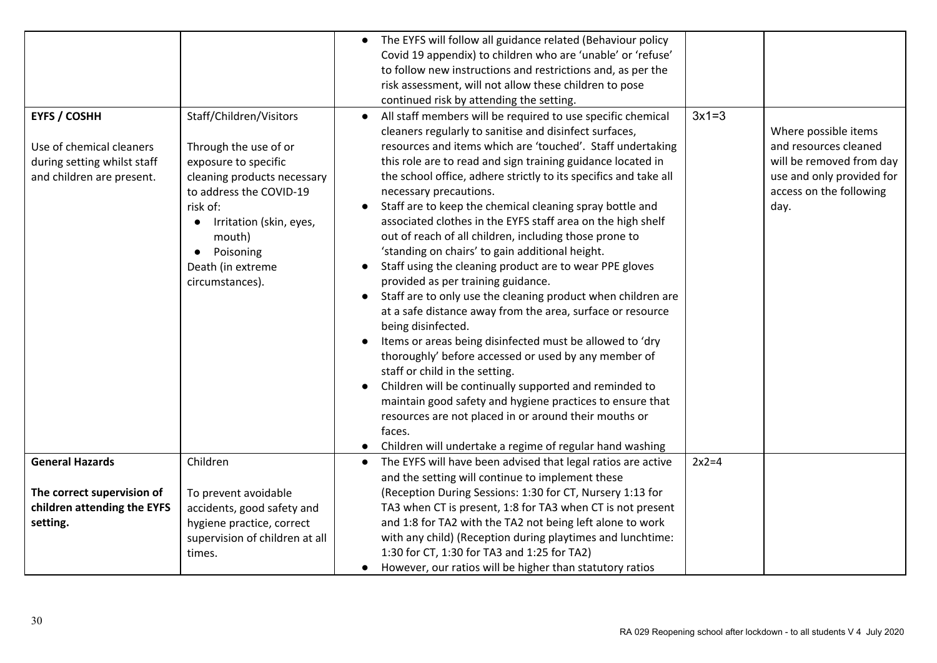|                                                 |                                                  | The EYFS will follow all guidance related (Behaviour policy                                                                                                                                                 |                                               |
|-------------------------------------------------|--------------------------------------------------|-------------------------------------------------------------------------------------------------------------------------------------------------------------------------------------------------------------|-----------------------------------------------|
|                                                 |                                                  | Covid 19 appendix) to children who are 'unable' or 'refuse'                                                                                                                                                 |                                               |
|                                                 |                                                  | to follow new instructions and restrictions and, as per the                                                                                                                                                 |                                               |
|                                                 |                                                  | risk assessment, will not allow these children to pose                                                                                                                                                      |                                               |
|                                                 |                                                  | continued risk by attending the setting.                                                                                                                                                                    |                                               |
| <b>EYFS / COSHH</b><br>Use of chemical cleaners | Staff/Children/Visitors<br>Through the use of or | $3x1=3$<br>All staff members will be required to use specific chemical<br>$\bullet$<br>cleaners regularly to sanitise and disinfect surfaces,<br>resources and items which are 'touched'. Staff undertaking | Where possible items<br>and resources cleaned |
| during setting whilst staff                     | exposure to specific                             | this role are to read and sign training guidance located in                                                                                                                                                 | will be removed from day                      |
| and children are present.                       | cleaning products necessary                      | the school office, adhere strictly to its specifics and take all                                                                                                                                            | use and only provided for                     |
|                                                 | to address the COVID-19                          | necessary precautions.                                                                                                                                                                                      | access on the following                       |
|                                                 | risk of:                                         | Staff are to keep the chemical cleaning spray bottle and                                                                                                                                                    | day.                                          |
|                                                 | Irritation (skin, eyes,<br>$\bullet$             | associated clothes in the EYFS staff area on the high shelf                                                                                                                                                 |                                               |
|                                                 | mouth)                                           | out of reach of all children, including those prone to                                                                                                                                                      |                                               |
|                                                 | Poisoning                                        | 'standing on chairs' to gain additional height.                                                                                                                                                             |                                               |
|                                                 | Death (in extreme                                | Staff using the cleaning product are to wear PPE gloves                                                                                                                                                     |                                               |
|                                                 | circumstances).                                  | provided as per training guidance.                                                                                                                                                                          |                                               |
|                                                 |                                                  | Staff are to only use the cleaning product when children are                                                                                                                                                |                                               |
|                                                 |                                                  | at a safe distance away from the area, surface or resource                                                                                                                                                  |                                               |
|                                                 |                                                  | being disinfected.                                                                                                                                                                                          |                                               |
|                                                 |                                                  | Items or areas being disinfected must be allowed to 'dry                                                                                                                                                    |                                               |
|                                                 |                                                  | thoroughly' before accessed or used by any member of                                                                                                                                                        |                                               |
|                                                 |                                                  | staff or child in the setting.                                                                                                                                                                              |                                               |
|                                                 |                                                  | Children will be continually supported and reminded to                                                                                                                                                      |                                               |
|                                                 |                                                  | maintain good safety and hygiene practices to ensure that                                                                                                                                                   |                                               |
|                                                 |                                                  | resources are not placed in or around their mouths or                                                                                                                                                       |                                               |
|                                                 |                                                  | faces.                                                                                                                                                                                                      |                                               |
|                                                 |                                                  | Children will undertake a regime of regular hand washing                                                                                                                                                    |                                               |
| <b>General Hazards</b>                          | Children                                         | The EYFS will have been advised that legal ratios are active<br>$2x2=4$                                                                                                                                     |                                               |
|                                                 |                                                  | and the setting will continue to implement these                                                                                                                                                            |                                               |
| The correct supervision of                      | To prevent avoidable                             | (Reception During Sessions: 1:30 for CT, Nursery 1:13 for                                                                                                                                                   |                                               |
| children attending the EYFS                     | accidents, good safety and                       | TA3 when CT is present, 1:8 for TA3 when CT is not present                                                                                                                                                  |                                               |
| setting.                                        | hygiene practice, correct                        | and 1:8 for TA2 with the TA2 not being left alone to work                                                                                                                                                   |                                               |
|                                                 | supervision of children at all                   | with any child) (Reception during playtimes and lunchtime:                                                                                                                                                  |                                               |
|                                                 | times.                                           | 1:30 for CT, 1:30 for TA3 and 1:25 for TA2)                                                                                                                                                                 |                                               |
|                                                 |                                                  | However, our ratios will be higher than statutory ratios                                                                                                                                                    |                                               |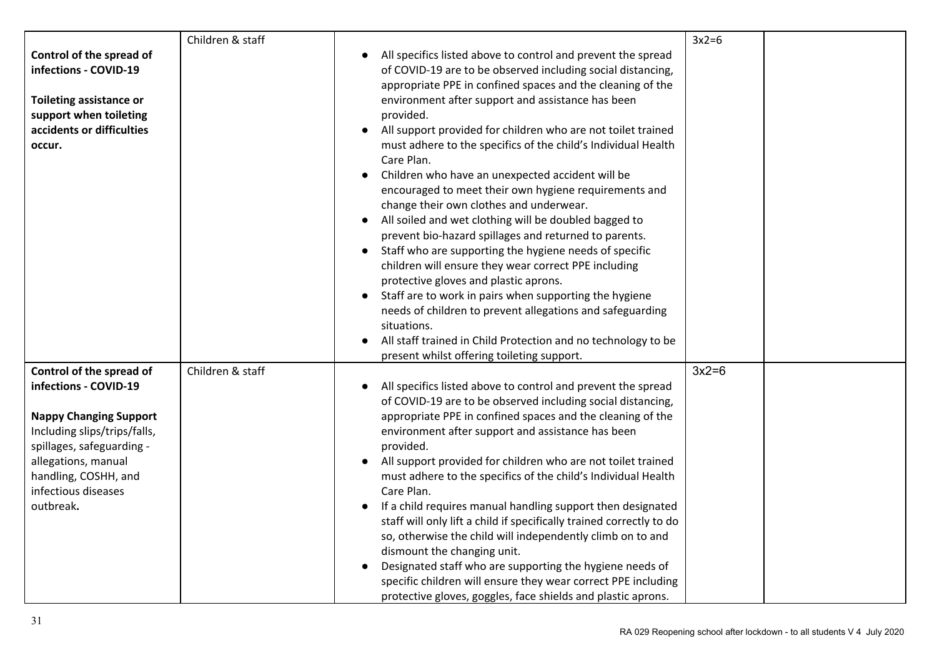|                                                                                                                                                                               | Children & staff |                                                                                                                                                                                                                                                                                                                                                                                                                                                                                                                                                                                                                                                                                                                                                                                                                                                                                                                                                                                                                                                                                                                   | $3x2=6$ |  |
|-------------------------------------------------------------------------------------------------------------------------------------------------------------------------------|------------------|-------------------------------------------------------------------------------------------------------------------------------------------------------------------------------------------------------------------------------------------------------------------------------------------------------------------------------------------------------------------------------------------------------------------------------------------------------------------------------------------------------------------------------------------------------------------------------------------------------------------------------------------------------------------------------------------------------------------------------------------------------------------------------------------------------------------------------------------------------------------------------------------------------------------------------------------------------------------------------------------------------------------------------------------------------------------------------------------------------------------|---------|--|
| Control of the spread of<br>infections - COVID-19<br><b>Toileting assistance or</b><br>support when toileting<br>accidents or difficulties<br>occur.                          |                  | All specifics listed above to control and prevent the spread<br>of COVID-19 are to be observed including social distancing,<br>appropriate PPE in confined spaces and the cleaning of the<br>environment after support and assistance has been<br>provided.<br>All support provided for children who are not toilet trained<br>must adhere to the specifics of the child's Individual Health<br>Care Plan.<br>Children who have an unexpected accident will be<br>encouraged to meet their own hygiene requirements and<br>change their own clothes and underwear.<br>All soiled and wet clothing will be doubled bagged to<br>prevent bio-hazard spillages and returned to parents.<br>Staff who are supporting the hygiene needs of specific<br>$\bullet$<br>children will ensure they wear correct PPE including<br>protective gloves and plastic aprons.<br>Staff are to work in pairs when supporting the hygiene<br>needs of children to prevent allegations and safeguarding<br>situations.<br>All staff trained in Child Protection and no technology to be<br>present whilst offering toileting support. |         |  |
| Control of the spread of<br>infections - COVID-19                                                                                                                             | Children & staff | All specifics listed above to control and prevent the spread                                                                                                                                                                                                                                                                                                                                                                                                                                                                                                                                                                                                                                                                                                                                                                                                                                                                                                                                                                                                                                                      | $3x2=6$ |  |
| <b>Nappy Changing Support</b><br>Including slips/trips/falls,<br>spillages, safeguarding -<br>allegations, manual<br>handling, COSHH, and<br>infectious diseases<br>outbreak. |                  | of COVID-19 are to be observed including social distancing,<br>appropriate PPE in confined spaces and the cleaning of the<br>environment after support and assistance has been<br>provided.<br>All support provided for children who are not toilet trained<br>must adhere to the specifics of the child's Individual Health<br>Care Plan.<br>If a child requires manual handling support then designated<br>staff will only lift a child if specifically trained correctly to do<br>so, otherwise the child will independently climb on to and<br>dismount the changing unit.<br>Designated staff who are supporting the hygiene needs of<br>specific children will ensure they wear correct PPE including<br>protective gloves, goggles, face shields and plastic aprons.                                                                                                                                                                                                                                                                                                                                       |         |  |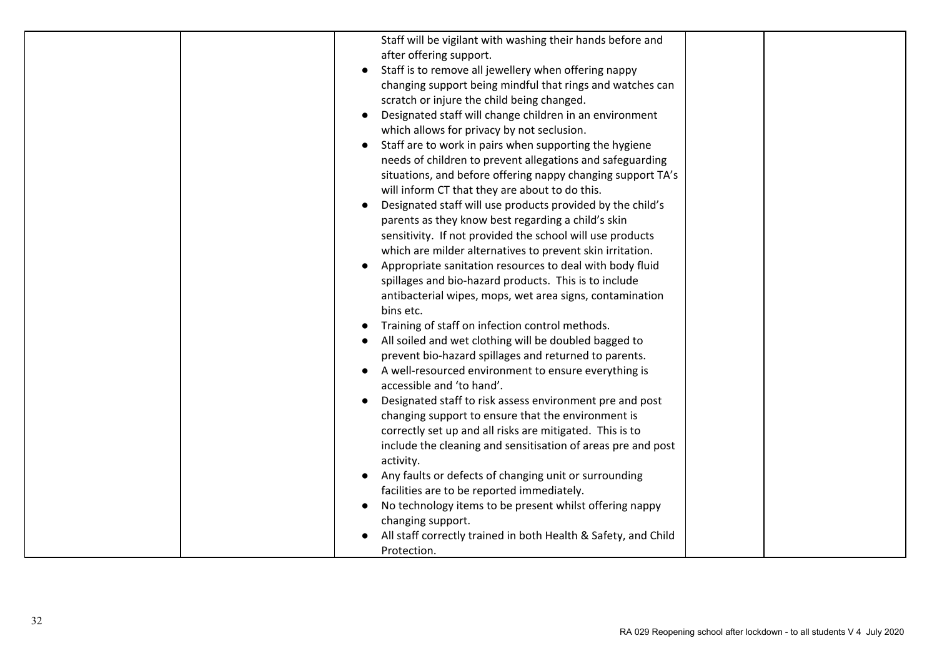|  | Staff will be vigilant with washing their hands before and     |  |
|--|----------------------------------------------------------------|--|
|  | after offering support.                                        |  |
|  |                                                                |  |
|  | Staff is to remove all jewellery when offering nappy           |  |
|  | changing support being mindful that rings and watches can      |  |
|  | scratch or injure the child being changed.                     |  |
|  | Designated staff will change children in an environment        |  |
|  | which allows for privacy by not seclusion.                     |  |
|  | Staff are to work in pairs when supporting the hygiene         |  |
|  | needs of children to prevent allegations and safeguarding      |  |
|  | situations, and before offering nappy changing support TA's    |  |
|  | will inform CT that they are about to do this.                 |  |
|  | Designated staff will use products provided by the child's     |  |
|  | parents as they know best regarding a child's skin             |  |
|  | sensitivity. If not provided the school will use products      |  |
|  | which are milder alternatives to prevent skin irritation.      |  |
|  | Appropriate sanitation resources to deal with body fluid       |  |
|  | spillages and bio-hazard products. This is to include          |  |
|  | antibacterial wipes, mops, wet area signs, contamination       |  |
|  | bins etc.                                                      |  |
|  | Training of staff on infection control methods.                |  |
|  | All soiled and wet clothing will be doubled bagged to          |  |
|  | prevent bio-hazard spillages and returned to parents.          |  |
|  | A well-resourced environment to ensure everything is           |  |
|  | accessible and 'to hand'.                                      |  |
|  | Designated staff to risk assess environment pre and post       |  |
|  | changing support to ensure that the environment is             |  |
|  | correctly set up and all risks are mitigated. This is to       |  |
|  | include the cleaning and sensitisation of areas pre and post   |  |
|  | activity.                                                      |  |
|  | Any faults or defects of changing unit or surrounding          |  |
|  | facilities are to be reported immediately.                     |  |
|  | No technology items to be present whilst offering nappy        |  |
|  | changing support.                                              |  |
|  | All staff correctly trained in both Health & Safety, and Child |  |
|  | Protection.                                                    |  |
|  |                                                                |  |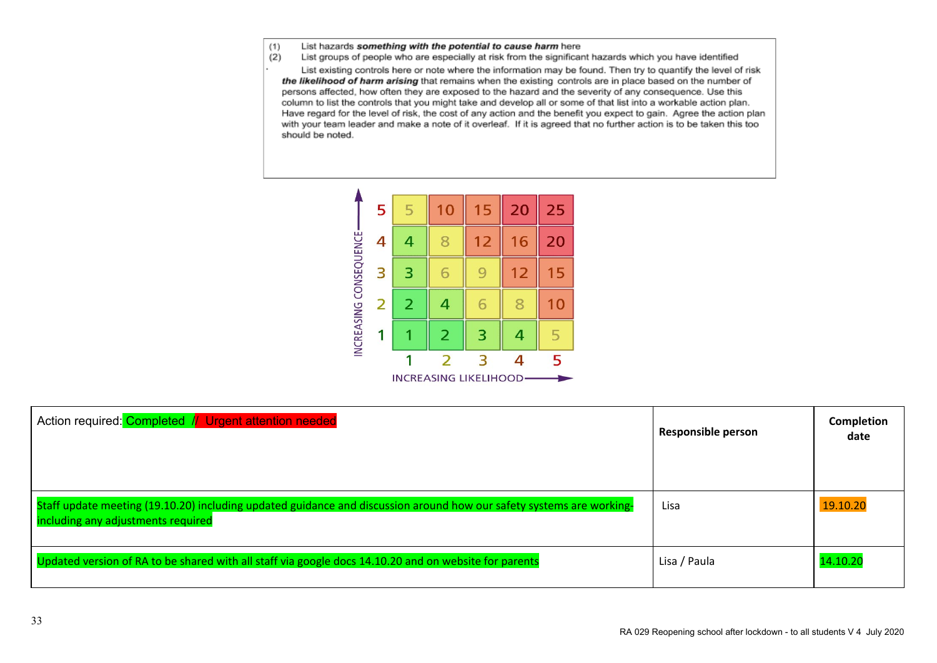- $(1)$ List hazards something with the potential to cause harm here
- $(2)$ List groups of people who are especially at risk from the significant hazards which you have identified

List existing controls here or note where the information may be found. Then try to quantify the level of risk the likelihood of harm arising that remains when the existing controls are in place based on the number of persons affected, how often they are exposed to the hazard and the severity of any consequence. Use this column to list the controls that you might take and develop all or some of that list into a workable action plan. Have regard for the level of risk, the cost of any action and the benefit you expect to gain. Agree the action plan with your team leader and make a note of it overleaf. If it is agreed that no further action is to be taken this too should be noted.



| Action required: Completed // Urgent attention needed                                                                                                      | <b>Responsible person</b> | <b>Completion</b><br>date |
|------------------------------------------------------------------------------------------------------------------------------------------------------------|---------------------------|---------------------------|
| Staff update meeting (19.10.20) including updated guidance and discussion around how our safety systems are working-<br>including any adjustments required | Lisa                      | 19.10.20                  |
| Updated version of RA to be shared with all staff via google docs 14.10.20 and on website for parents                                                      | Lisa / Paula              | 14.10.20                  |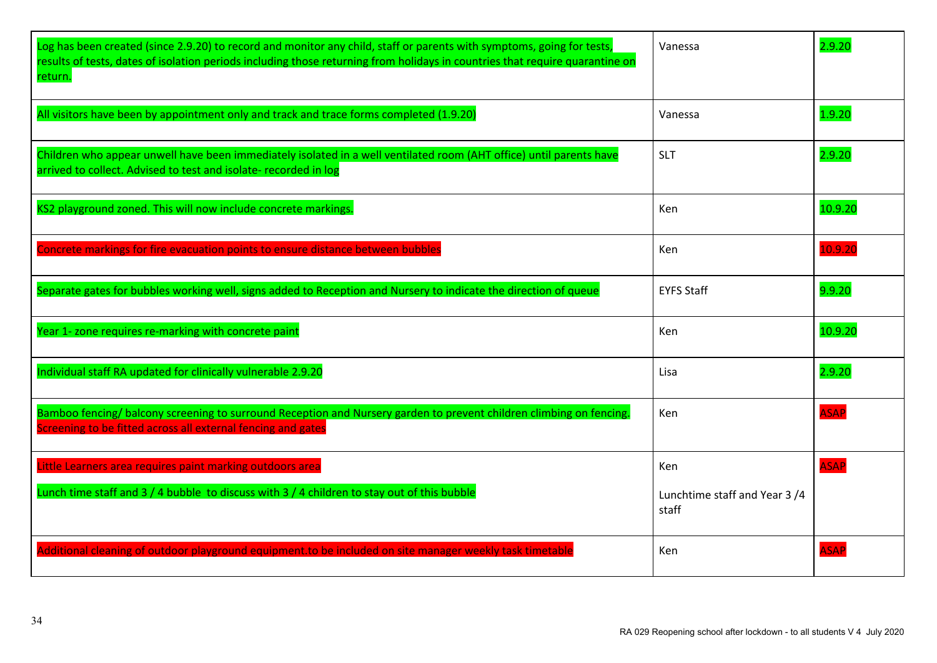| Log has been created (since 2.9.20) to record and monitor any child, staff or parents with symptoms, going for tests,<br>results of tests, dates of isolation periods including those returning from holidays in countries that require quarantine on<br>return. | Vanessa                               | 2.9.20      |
|------------------------------------------------------------------------------------------------------------------------------------------------------------------------------------------------------------------------------------------------------------------|---------------------------------------|-------------|
| All visitors have been by appointment only and track and trace forms completed (1.9.20)                                                                                                                                                                          | Vanessa                               | 1.9.20      |
| Children who appear unwell have been immediately isolated in a well ventilated room (AHT office) until parents have<br>arrived to collect. Advised to test and isolate- recorded in log                                                                          | <b>SLT</b>                            | 2.9.20      |
| KS2 playground zoned. This will now include concrete markings.                                                                                                                                                                                                   | <b>Ken</b>                            | 10.9.20     |
| Concrete markings for fire evacuation points to ensure distance between bubbles                                                                                                                                                                                  | <b>Ken</b>                            | 10.9.20     |
| Separate gates for bubbles working well, signs added to Reception and Nursery to indicate the direction of queue                                                                                                                                                 | <b>EYFS Staff</b>                     | 9.9.20      |
| Year 1- zone requires re-marking with concrete paint                                                                                                                                                                                                             | Ken                                   | 10.9.20     |
| Individual staff RA updated for clinically vulnerable 2.9.20                                                                                                                                                                                                     | Lisa                                  | 2.9.20      |
| Bamboo fencing/balcony screening to surround Reception and Nursery garden to prevent children climbing on fencing.<br>Screening to be fitted across all external fencing and gates                                                                               | <b>Ken</b>                            | <b>ASAP</b> |
| Little Learners area requires paint marking outdoors area                                                                                                                                                                                                        | Ken                                   | <b>ASAP</b> |
| Lunch time staff and $3/4$ bubble to discuss with $3/4$ children to stay out of this bubble                                                                                                                                                                      | Lunchtime staff and Year 3/4<br>staff |             |
| Additional cleaning of outdoor playground equipment.to be included on site manager weekly task timetable                                                                                                                                                         | Ken                                   | <b>ASAP</b> |